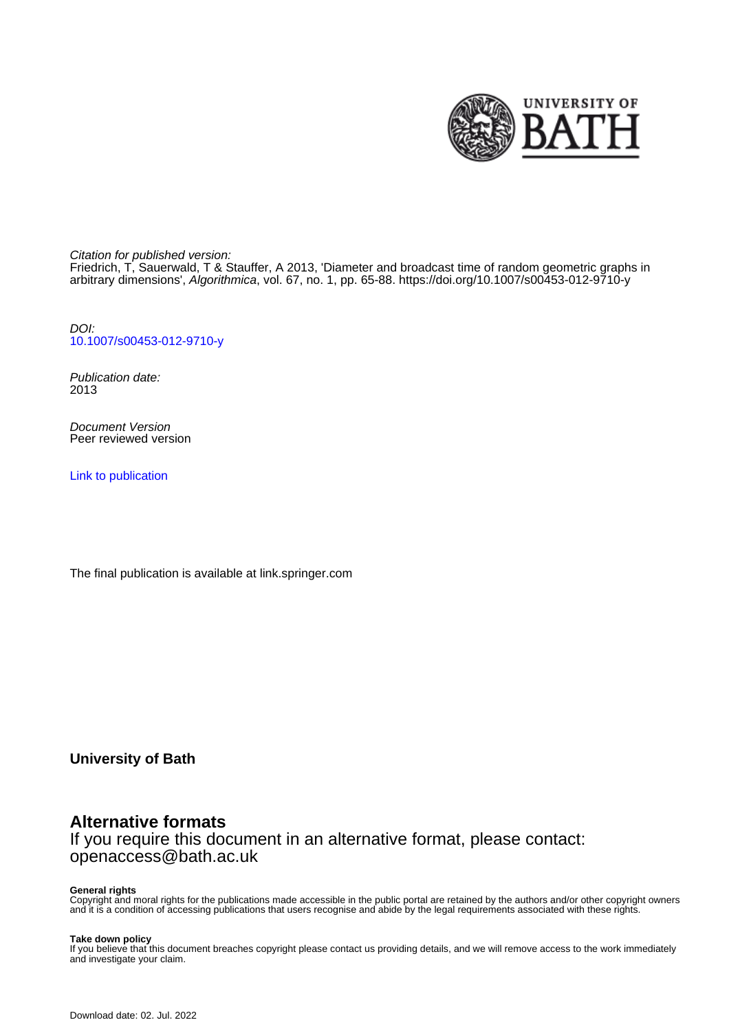

Citation for published version:

Friedrich, T, Sauerwald, T & Stauffer, A 2013, 'Diameter and broadcast time of random geometric graphs in arbitrary dimensions', Algorithmica, vol. 67, no. 1, pp. 65-88. <https://doi.org/10.1007/s00453-012-9710-y>

DOI: [10.1007/s00453-012-9710-y](https://doi.org/10.1007/s00453-012-9710-y)

Publication date: 2013

Document Version Peer reviewed version

[Link to publication](https://researchportal.bath.ac.uk/en/publications/diameter-and-broadcast-time-of-random-geometric-graphs-in-arbitrary-dimensions(8f972258-0a0a-4214-9a3b-209bf01c5598).html)

The final publication is available at link.springer.com

**University of Bath**

# **Alternative formats**

If you require this document in an alternative format, please contact: openaccess@bath.ac.uk

#### **General rights**

Copyright and moral rights for the publications made accessible in the public portal are retained by the authors and/or other copyright owners and it is a condition of accessing publications that users recognise and abide by the legal requirements associated with these rights.

#### **Take down policy**

If you believe that this document breaches copyright please contact us providing details, and we will remove access to the work immediately and investigate your claim.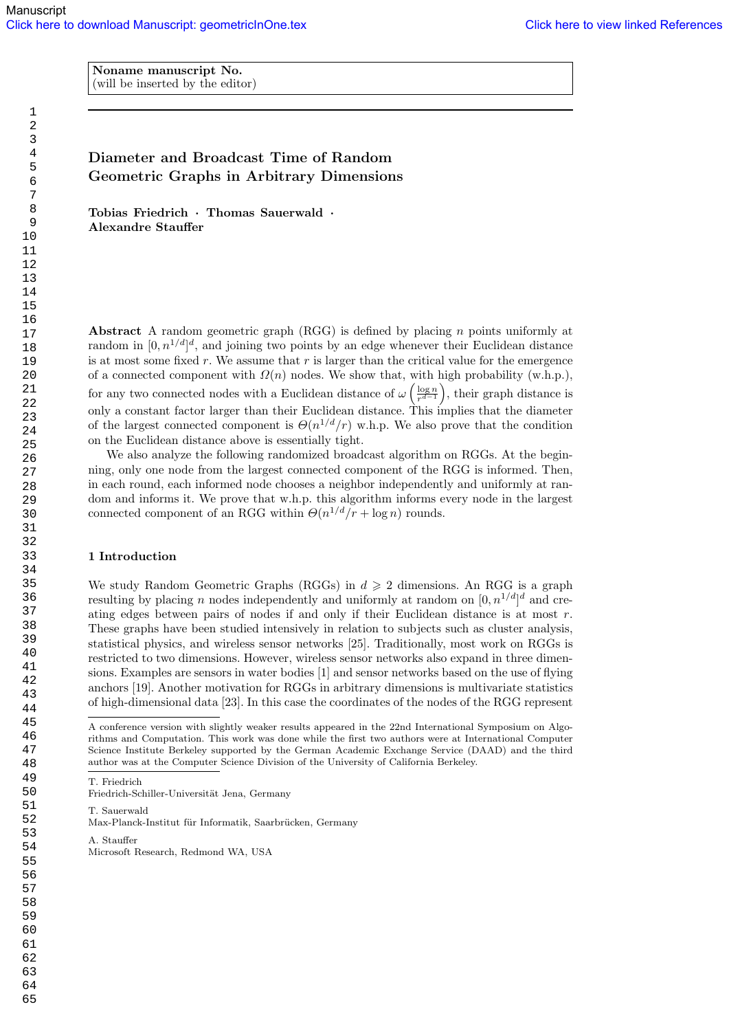Noname manuscript No. (will be inserted by the editor)

## Diameter and Broadcast Time of Random Geometric Graphs in Arbitrary Dimensions

Tobias Friedrich · Thomas Sauerwald · Alexandre Stauffer

Abstract A random geometric graph  $(RGG)$  is defined by placing n points uniformly at random in  $[0, n^{1/d}]^d$ , and joining two points by an edge whenever their Euclidean distance is at most some fixed r. We assume that  $r$  is larger than the critical value for the emergence of a connected component with  $\Omega(n)$  nodes. We show that, with high probability (w.h.p.), for any two connected nodes with a Euclidean distance of  $\omega \left( \frac{\log n}{n^{d-1}} \right)$  $\frac{\log n}{r^{d-1}}$ , their graph distance is only a constant factor larger than their Euclidean distance. This implies that the diameter of the largest connected component is  $\Theta(n^{1/d}/r)$  w.h.p. We also prove that the condition on the Euclidean distance above is essentially tight.

We also analyze the following randomized broadcast algorithm on RGGs. At the beginning, only one node from the largest connected component of the RGG is informed. Then, in each round, each informed node chooses a neighbor independently and uniformly at random and informs it. We prove that w.h.p. this algorithm informs every node in the largest connected component of an RGG within  $\Theta(n^{1/d}/r + \log n)$  rounds.

## 1 Introduction

We study Random Geometric Graphs (RGGs) in  $d \geq 2$  dimensions. An RGG is a graph resulting by placing n nodes independently and uniformly at random on  $[0, n^{1/d}]^d$  and creating edges between pairs of nodes if and only if their Euclidean distance is at most  $r$ . These graphs have been studied intensively in relation to subjects such as cluster analysis, statistical physics, and wireless sensor networks [25]. Traditionally, most work on RGGs is restricted to two dimensions. However, wireless sensor networks also expand in three dimensions. Examples are sensors in water bodies [1] and sensor networks based on the use of flying anchors [19]. Another motivation for RGGs in arbitrary dimensions is multivariate statistics of high-dimensional data [23]. In this case the coordinates of the nodes of the RGG represent

T. Friedrich

Friedrich-Schiller-Universität Jena, Germany

T. Sauerwald

Max-Planck-Institut für Informatik, Saarbrücken, Germany

A. Stauffer

A conference version with slightly weaker results appeared in the 22nd International Symposium on Algorithms and Computation. This work was done while the first two authors were at International Computer Science Institute Berkeley supported by the German Academic Exchange Service (DAAD) and the third author was at the Computer Science Division of the University of California Berkeley.

Microsoft Research, Redmond WA, USA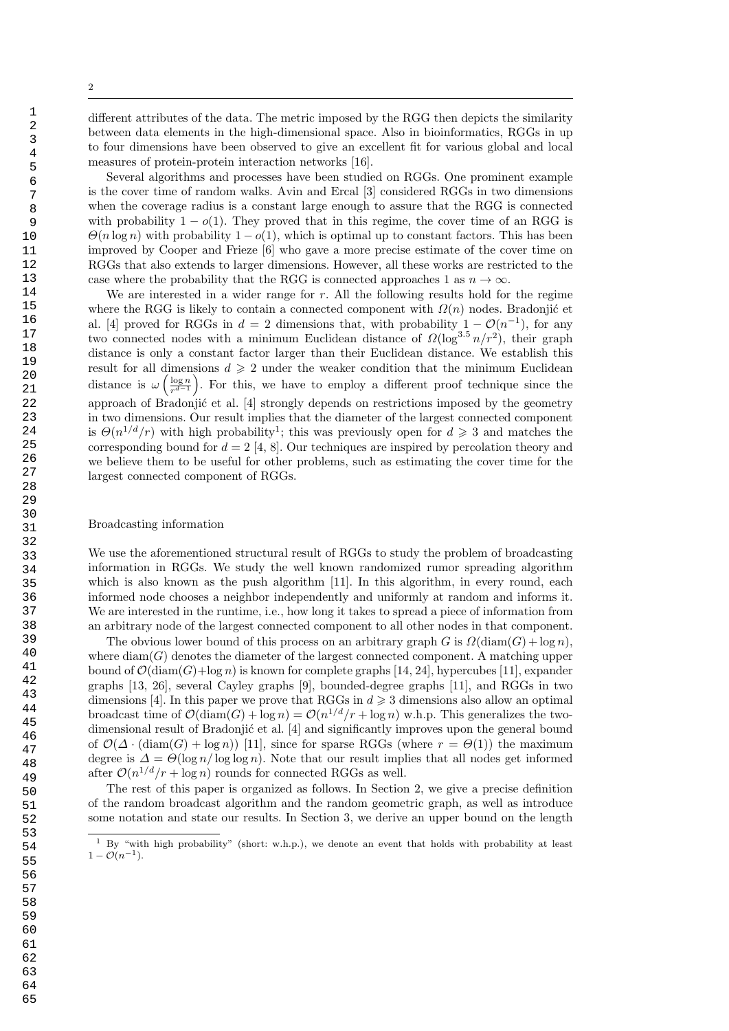different attributes of the data. The metric imposed by the RGG then depicts the similarity between data elements in the high-dimensional space. Also in bioinformatics, RGGs in up to four dimensions have been observed to give an excellent fit for various global and local measures of protein-protein interaction networks [16].

Several algorithms and processes have been studied on RGGs. One prominent example is the cover time of random walks. Avin and Ercal [3] considered RGGs in two dimensions when the coverage radius is a constant large enough to assure that the RGG is connected with probability  $1 - o(1)$ . They proved that in this regime, the cover time of an RGG is  $\Theta(n \log n)$  with probability  $1 - o(1)$ , which is optimal up to constant factors. This has been improved by Cooper and Frieze [6] who gave a more precise estimate of the cover time on RGGs that also extends to larger dimensions. However, all these works are restricted to the case where the probability that the RGG is connected approaches 1 as  $n \to \infty$ .

We are interested in a wider range for  $r$ . All the following results hold for the regime where the RGG is likely to contain a connected component with  $\Omega(n)$  nodes. Bradonjić et al. [4] proved for RGGs in  $d = 2$  dimensions that, with probability  $1 - \mathcal{O}(n^{-1})$ , for any two connected nodes with a minimum Euclidean distance of  $\Omega(\log^{3.5} n/r^2)$ , their graph distance is only a constant factor larger than their Euclidean distance. We establish this result for all dimensions  $d \geq 2$  under the weaker condition that the minimum Euclidean distance is  $\omega\left(\frac{\log n}{x^{d-1}}\right)$  $\frac{\log n}{r^{d-1}}$ . For this, we have to employ a different proof technique since the approach of Bradonjić et al.  $[4]$  strongly depends on restrictions imposed by the geometry in two dimensions. Our result implies that the diameter of the largest connected component is  $\Theta(n^{1/d}/r)$  with high probability<sup>1</sup>; this was previously open for  $d \geq 3$  and matches the corresponding bound for  $d = 2 \, [4, 8]$ . Our techniques are inspired by percolation theory and we believe them to be useful for other problems, such as estimating the cover time for the largest connected component of RGGs.

#### Broadcasting information

We use the aforementioned structural result of RGGs to study the problem of broadcasting information in RGGs. We study the well known randomized rumor spreading algorithm which is also known as the push algorithm [11]. In this algorithm, in every round, each informed node chooses a neighbor independently and uniformly at random and informs it. We are interested in the runtime, i.e., how long it takes to spread a piece of information from an arbitrary node of the largest connected component to all other nodes in that component.

The obvious lower bound of this process on an arbitrary graph G is  $\Omega(\text{diam}(G) + \log n)$ , where  $\text{diam}(G)$  denotes the diameter of the largest connected component. A matching upper bound of  $\mathcal{O}(\text{diam}(G)+\log n)$  is known for complete graphs [14, 24], hypercubes [11], expander graphs [13, 26], several Cayley graphs [9], bounded-degree graphs [11], and RGGs in two dimensions [4]. In this paper we prove that RGGs in  $d \geq 3$  dimensions also allow an optimal broadcast time of  $\mathcal{O}(\text{diam}(G) + \log n) = \mathcal{O}(n^{1/d}/r + \log n)$  w.h.p. This generalizes the twodimensional result of Bradonjić et al. [4] and significantly improves upon the general bound of  $\mathcal{O}(\Delta \cdot (\text{diam}(G) + \log n))$  [11], since for sparse RGGs (where  $r = \Theta(1)$ ) the maximum degree is  $\Delta = \Theta(\log n / \log \log n)$ . Note that our result implies that all nodes get informed after  $\mathcal{O}(n^{1/d}/r + \log n)$  rounds for connected RGGs as well.

The rest of this paper is organized as follows. In Section 2, we give a precise definition of the random broadcast algorithm and the random geometric graph, as well as introduce some notation and state our results. In Section 3, we derive an upper bound on the length

<sup>&</sup>lt;sup>1</sup> By "with high probability" (short: w.h.p.), we denote an event that holds with probability at least  $1 - \mathcal{O}(n^{-1}).$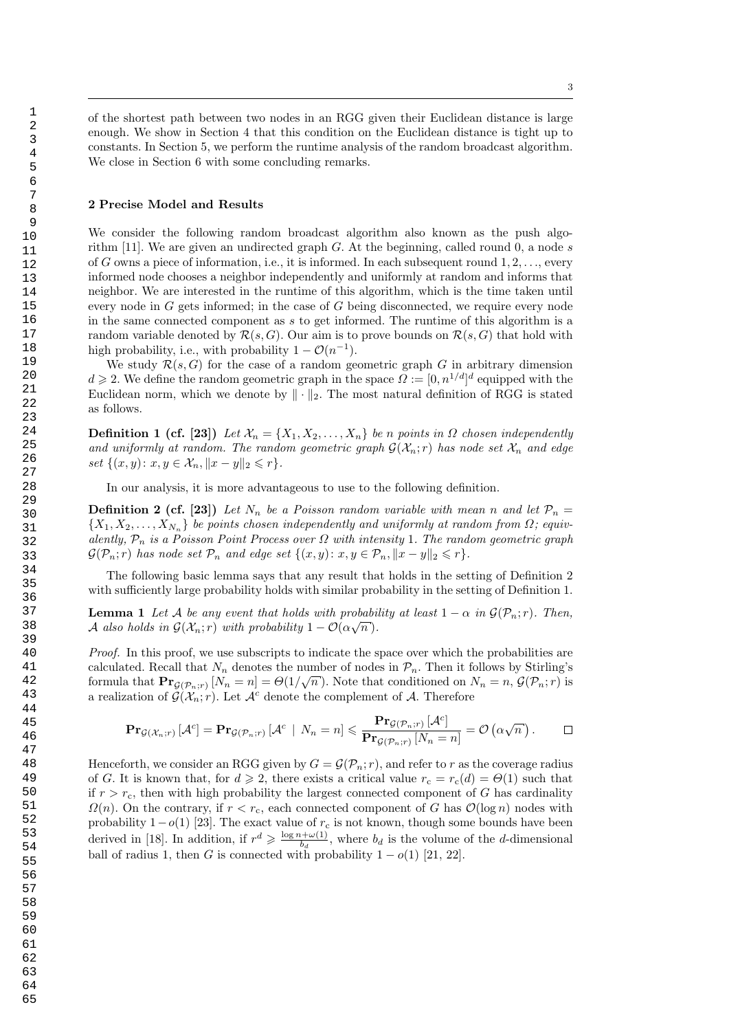of the shortest path between two nodes in an RGG given their Euclidean distance is large enough. We show in Section 4 that this condition on the Euclidean distance is tight up to constants. In Section 5, we perform the runtime analysis of the random broadcast algorithm. We close in Section 6 with some concluding remarks.

#### 2 Precise Model and Results

We consider the following random broadcast algorithm also known as the push algorithm [11]. We are given an undirected graph G. At the beginning, called round  $0$ , a node s of G owns a piece of information, i.e., it is informed. In each subsequent round  $1, 2, \ldots$ , every informed node chooses a neighbor independently and uniformly at random and informs that neighbor. We are interested in the runtime of this algorithm, which is the time taken until every node in G gets informed; in the case of G being disconnected, we require every node in the same connected component as s to get informed. The runtime of this algorithm is a random variable denoted by  $\mathcal{R}(s, G)$ . Our aim is to prove bounds on  $\mathcal{R}(s, G)$  that hold with high probability, i.e., with probability  $1 - \mathcal{O}(n^{-1})$ .

We study  $\mathcal{R}(s, G)$  for the case of a random geometric graph G in arbitrary dimension  $d \geq 2$ . We define the random geometric graph in the space  $\Omega := [0, n^{1/d}]^d$  equipped with the Euclidean norm, which we denote by  $\|\cdot\|_2$ . The most natural definition of RGG is stated as follows.

**Definition 1 (cf. [23])** Let  $\mathcal{X}_n = \{X_1, X_2, \ldots, X_n\}$  be n points in  $\Omega$  chosen independently and uniformly at random. The random geometric graph  $G(\mathcal{X}_n; r)$  has node set  $\mathcal{X}_n$  and edge set  $\{(x, y): x, y \in \mathcal{X}_n, ||x - y||_2 \leq r\}.$ 

In our analysis, it is more advantageous to use to the following definition.

**Definition 2 (cf. [23])** Let  $N_n$  be a Poisson random variable with mean n and let  $\mathcal{P}_n =$  $\{X_1, X_2, \ldots, X_{N_n}\}$  be points chosen independently and uniformly at random from  $\Omega$ ; equivalently,  $P_n$  is a Poisson Point Process over  $\Omega$  with intensity 1. The random geometric graph  $\mathcal{G}(\mathcal{P}_n; r)$  has node set  $\mathcal{P}_n$  and edge set  $\{(x, y): x, y \in \mathcal{P}_n, ||x - y||_2 \leq r\}.$ 

The following basic lemma says that any result that holds in the setting of Definition 2 with sufficiently large probability holds with similar probability in the setting of Definition 1.

**Lemma 1** Let A be any event that holds with probability at least  $1 - \alpha$  in  $\mathcal{G}(\mathcal{P}_n; r)$ . Then, A also holds in  $\mathcal{G}(\mathcal{X}_n; r)$  with probability  $1 - \mathcal{O}(\alpha \sqrt{n}).$ 

Proof. In this proof, we use subscripts to indicate the space over which the probabilities are calculated. Recall that  $N_n$  denotes the number of nodes in  $\mathcal{P}_n$ . Then it follows by Stirling's formula that  $\Pr_{\mathcal{G}(\mathcal{P}_n; r)}[N_n = n] = \Theta(1/\sqrt{n})$ . Note that conditioned on  $N_n = n$ ,  $\mathcal{G}(\mathcal{P}_n; r)$  is a realization of  $\mathcal{G}(\mathcal{X}_n; r)$ . Let  $\mathcal{A}^c$  denote the complement of  $\mathcal{A}$ . Therefore

$$
\mathbf{Pr}_{\mathcal{G}(\mathcal{X}_n; r)}\left[\mathcal{A}^c\right] = \mathbf{Pr}_{\mathcal{G}(\mathcal{P}_n; r)}\left[\mathcal{A}^c \mid N_n = n\right] \leqslant \frac{\mathbf{Pr}_{\mathcal{G}(\mathcal{P}_n; r)}\left[\mathcal{A}^c\right]}{\mathbf{Pr}_{\mathcal{G}(\mathcal{P}_n; r)}\left[N_n = n\right]} = \mathcal{O}\left(\alpha\sqrt{n}\right).
$$

Henceforth, we consider an RGG given by  $G = \mathcal{G}(\mathcal{P}_n; r)$ , and refer to r as the coverage radius of G. It is known that, for  $d \geq 2$ , there exists a critical value  $r_c = r_c(d) = \Theta(1)$  such that if  $r > r_c$ , then with high probability the largest connected component of G has cardinality  $\Omega(n)$ . On the contrary, if  $r < r_c$ , each connected component of G has  $\mathcal{O}(\log n)$  nodes with probability  $1-o(1)$  [23]. The exact value of  $r_c$  is not known, though some bounds have been derived in [18]. In addition, if  $r^d \geqslant \frac{\log n + \omega(1)}{h}$  $\frac{b^2 + \omega(1)}{b_d}$ , where  $b_d$  is the volume of the *d*-dimensional ball of radius 1, then G is connected with probability  $1 - o(1)$  [21, 22].

64 65

 1 2 3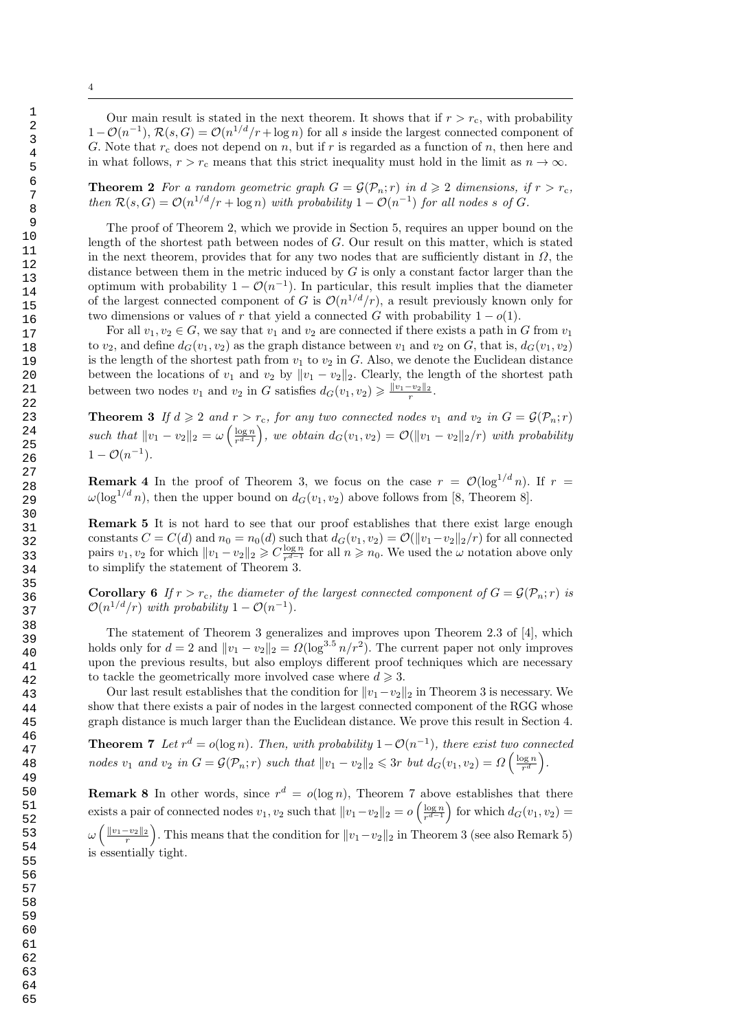4

Our main result is stated in the next theorem. It shows that if  $r > r<sub>c</sub>$ , with probability  $1-\mathcal{O}(n^{-1}), \mathcal{R}(s, G) = \mathcal{O}(n^{1/d}/r + \log n)$  for all s inside the largest connected component of G. Note that  $r_c$  does not depend on n, but if r is regarded as a function of n, then here and in what follows,  $r > r_c$  means that this strict inequality must hold in the limit as  $n \to \infty$ .

**Theorem 2** For a random geometric graph  $G = \mathcal{G}(\mathcal{P}_n; r)$  in  $d \geq 2$  dimensions, if  $r > r_c$ , then  $\mathcal{R}(s, G) = \mathcal{O}(n^{1/d}/r + \log n)$  with probability  $1 - \mathcal{O}(n^{-1})$  for all nodes s of G.

The proof of Theorem 2, which we provide in Section 5, requires an upper bound on the length of the shortest path between nodes of G. Our result on this matter, which is stated in the next theorem, provides that for any two nodes that are sufficiently distant in  $\Omega$ , the distance between them in the metric induced by  $G$  is only a constant factor larger than the optimum with probability  $1 - \mathcal{O}(n^{-1})$ . In particular, this result implies that the diameter of the largest connected component of G is  $\mathcal{O}(n^{1/d}/r)$ , a result previously known only for two dimensions or values of r that yield a connected G with probability  $1 - o(1)$ .

For all  $v_1, v_2 \in G$ , we say that  $v_1$  and  $v_2$  are connected if there exists a path in G from  $v_1$ to  $v_2$ , and define  $d_G(v_1, v_2)$  as the graph distance between  $v_1$  and  $v_2$  on G, that is,  $d_G(v_1, v_2)$ is the length of the shortest path from  $v_1$  to  $v_2$  in G. Also, we denote the Euclidean distance between the locations of  $v_1$  and  $v_2$  by  $||v_1 - v_2||_2$ . Clearly, the length of the shortest path between two nodes  $v_1$  and  $v_2$  in G satisfies  $d_G(v_1, v_2) \geqslant \frac{\|v_1 - v_2\|_2}{r}$ .

**Theorem 3** If  $d \ge 2$  and  $r > r_c$ , for any two connected nodes  $v_1$  and  $v_2$  in  $G = \mathcal{G}(\mathcal{P}_n; r)$ such that  $||v_1 - v_2||_2 = \omega \left( \frac{\log n}{r^{d-1}} \right)$  $\frac{\log n}{r^{d-1}}$ , we obtain  $d_G(v_1, v_2) = \mathcal{O}(\Vert v_1 - v_2 \Vert_2/r)$  with probability  $1 - \mathcal{O}(n^{-1}).$ 

**Remark 4** In the proof of Theorem 3, we focus on the case  $r = \mathcal{O}(\log^{1/d} n)$ . If  $r =$  $\omega(\log^{1/d} n)$ , then the upper bound on  $d_G(v_1, v_2)$  above follows from [8, Theorem 8].

Remark 5 It is not hard to see that our proof establishes that there exist large enough constants  $C = C(d)$  and  $n_0 = n_0(d)$  such that  $d_G(v_1, v_2) = \mathcal{O}(\Vert v_1 - v_2 \Vert_2 / r)$  for all connected pairs  $v_1, v_2$  for which  $||v_1 - v_2||_2 \geqslant C \frac{\log n}{r^{d-1}}$  $\frac{\log n}{r^{d-1}}$  for all  $n \ge n_0$ . We used the ω notation above only to simplify the statement of Theorem 3.

**Corollary 6** If  $r > r_c$ , the diameter of the largest connected component of  $G = \mathcal{G}(\mathcal{P}_n; r)$  is  $\mathcal{O}(n^{1/d}/r)$  with probability  $1-\mathcal{O}(n^{-1})$ .

The statement of Theorem 3 generalizes and improves upon Theorem 2.3 of [4], which holds only for  $d = 2$  and  $||v_1 - v_2||_2 = \Omega(\log^{3.5} n/r^2)$ . The current paper not only improves upon the previous results, but also employs different proof techniques which are necessary to tackle the geometrically more involved case where  $d \geq 3$ .

Our last result establishes that the condition for  $||v_1-v_2||_2$  in Theorem 3 is necessary. We show that there exists a pair of nodes in the largest connected component of the RGG whose graph distance is much larger than the Euclidean distance. We prove this result in Section 4.

**Theorem 7** Let  $r^d = o(\log n)$ . Then, with probability  $1 - O(n^{-1})$ , there exist two connected nodes  $v_1$  and  $v_2$  in  $G = \mathcal{G}(\mathcal{P}_n; r)$  such that  $||v_1 - v_2||_2 \leq 3r$  but  $d_G(v_1, v_2) = \Omega\left(\frac{\log n}{r^d}\right)$  $\frac{\log n}{r^d}\bigg).$ 

**Remark 8** In other words, since  $r^d = o(\log n)$ , Theorem 7 above establishes that there exists a pair of connected nodes  $v_1, v_2$  such that  $||v_1-v_2||_2 = o\left(\frac{\log n}{r^{d-1}}\right)$  $\frac{\log n}{r^{d-1}}$  for which  $d_G(v_1, v_2)$  =  $\omega\left(\frac{||v_1-v_2||_2}{r}\right)$ . This means that the condition for  $||v_1-v_2||_2$  in Theorem 3 (see also Remark 5) is essentially tight.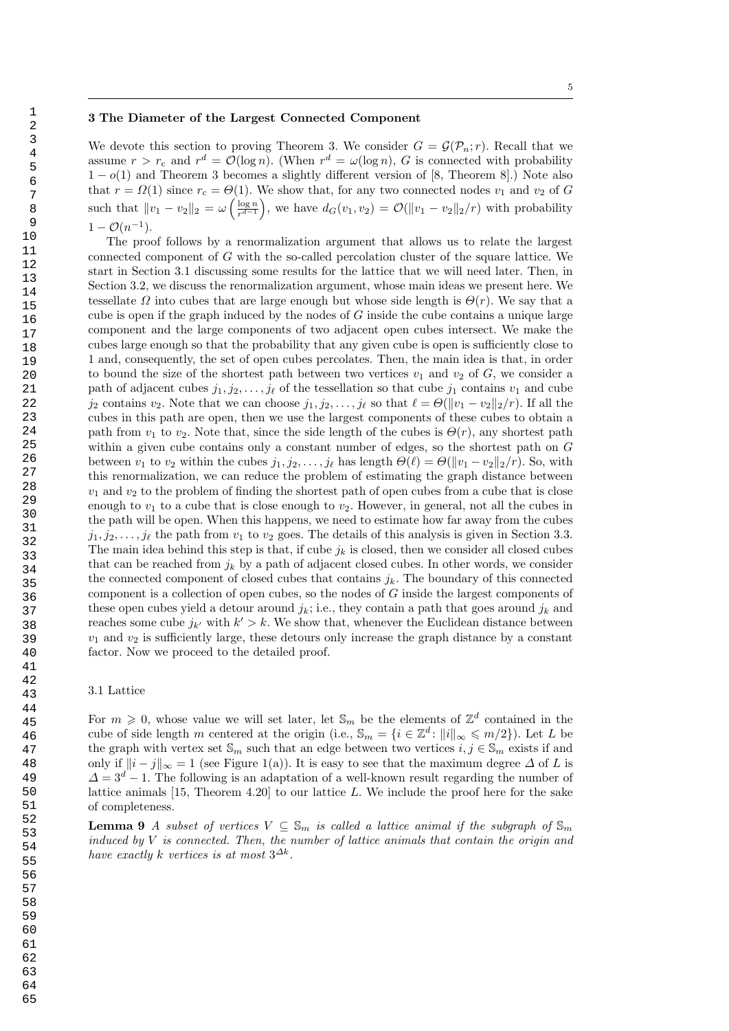#### 3 The Diameter of the Largest Connected Component

We devote this section to proving Theorem 3. We consider  $G = \mathcal{G}(\mathcal{P}_n; r)$ . Recall that we assume  $r > r_c$  and  $r^d = \mathcal{O}(\log n)$ . (When  $r^d = \omega(\log n)$ , G is connected with probability  $1-o(1)$  and Theorem 3 becomes a slightly different version of [8, Theorem 8].) Note also that  $r = \Omega(1)$  since  $r_c = \Theta(1)$ . We show that, for any two connected nodes  $v_1$  and  $v_2$  of G such that  $||v_1 - v_2||_2 = \omega \left( \frac{\log n}{r^{d-1}} \right)$  $\frac{\log n}{r^{d-1}}$ , we have  $d_G(v_1, v_2) = \mathcal{O}(\|v_1 - v_2\|_2/r)$  with probability  $1 - \mathcal{O}(n^{-1}).$ 

The proof follows by a renormalization argument that allows us to relate the largest connected component of G with the so-called percolation cluster of the square lattice. We start in Section 3.1 discussing some results for the lattice that we will need later. Then, in Section 3.2, we discuss the renormalization argument, whose main ideas we present here. We tessellate  $\Omega$  into cubes that are large enough but whose side length is  $\Theta(r)$ . We say that a cube is open if the graph induced by the nodes of  $G$  inside the cube contains a unique large component and the large components of two adjacent open cubes intersect. We make the cubes large enough so that the probability that any given cube is open is sufficiently close to 1 and, consequently, the set of open cubes percolates. Then, the main idea is that, in order to bound the size of the shortest path between two vertices  $v_1$  and  $v_2$  of G, we consider a path of adjacent cubes  $j_1, j_2, \ldots, j_\ell$  of the tessellation so that cube  $j_1$  contains  $v_1$  and cube  $j_2$  contains  $v_2$ . Note that we can choose  $j_1, j_2, \ldots, j_\ell$  so that  $\ell = \Theta(||v_1 - v_2||_2/r)$ . If all the cubes in this path are open, then we use the largest components of these cubes to obtain a path from  $v_1$  to  $v_2$ . Note that, since the side length of the cubes is  $\Theta(r)$ , any shortest path within a given cube contains only a constant number of edges, so the shortest path on G between  $v_1$  to  $v_2$  within the cubes  $j_1, j_2, \ldots, j_\ell$  has length  $\Theta(\ell) = \Theta(||v_1 - v_2||_2/r)$ . So, with this renormalization, we can reduce the problem of estimating the graph distance between  $v_1$  and  $v_2$  to the problem of finding the shortest path of open cubes from a cube that is close enough to  $v_1$  to a cube that is close enough to  $v_2$ . However, in general, not all the cubes in the path will be open. When this happens, we need to estimate how far away from the cubes  $j_1, j_2, \ldots, j_\ell$  the path from  $v_1$  to  $v_2$  goes. The details of this analysis is given in Section 3.3. The main idea behind this step is that, if cube  $j_k$  is closed, then we consider all closed cubes that can be reached from  $j_k$  by a path of adjacent closed cubes. In other words, we consider the connected component of closed cubes that contains  $j_k$ . The boundary of this connected component is a collection of open cubes, so the nodes of G inside the largest components of these open cubes yield a detour around  $j_k$ ; i.e., they contain a path that goes around  $j_k$  and reaches some cube  $j_{k'}$  with  $k' > k$ . We show that, whenever the Euclidean distance between  $v_1$  and  $v_2$  is sufficiently large, these detours only increase the graph distance by a constant factor. Now we proceed to the detailed proof.

#### 3.1 Lattice

For  $m \geq 0$ , whose value we will set later, let  $\mathbb{S}_m$  be the elements of  $\mathbb{Z}^d$  contained in the cube of side length m centered at the origin (i.e.,  $\mathbb{S}_m = \{i \in \mathbb{Z}^d : ||i||_{\infty} \leqslant m/2\}$ ). Let L be the graph with vertex set  $\mathbb{S}_m$  such that an edge between two vertices  $i, j \in \mathbb{S}_m$  exists if and only if  $||i - j||_{\infty} = 1$  (see Figure 1(a)). It is easy to see that the maximum degree  $\Delta$  of L is  $\Delta = 3^d - 1$ . The following is an adaptation of a well-known result regarding the number of lattice animals [15, Theorem 4.20] to our lattice L. We include the proof here for the sake of completeness.

**Lemma 9** A subset of vertices  $V \subseteq S_m$  is called a lattice animal if the subgraph of  $S_m$ induced by  $V$  is connected. Then, the number of lattice animals that contain the origin and have exactly k vertices is at most  $3^{\Delta k}$ .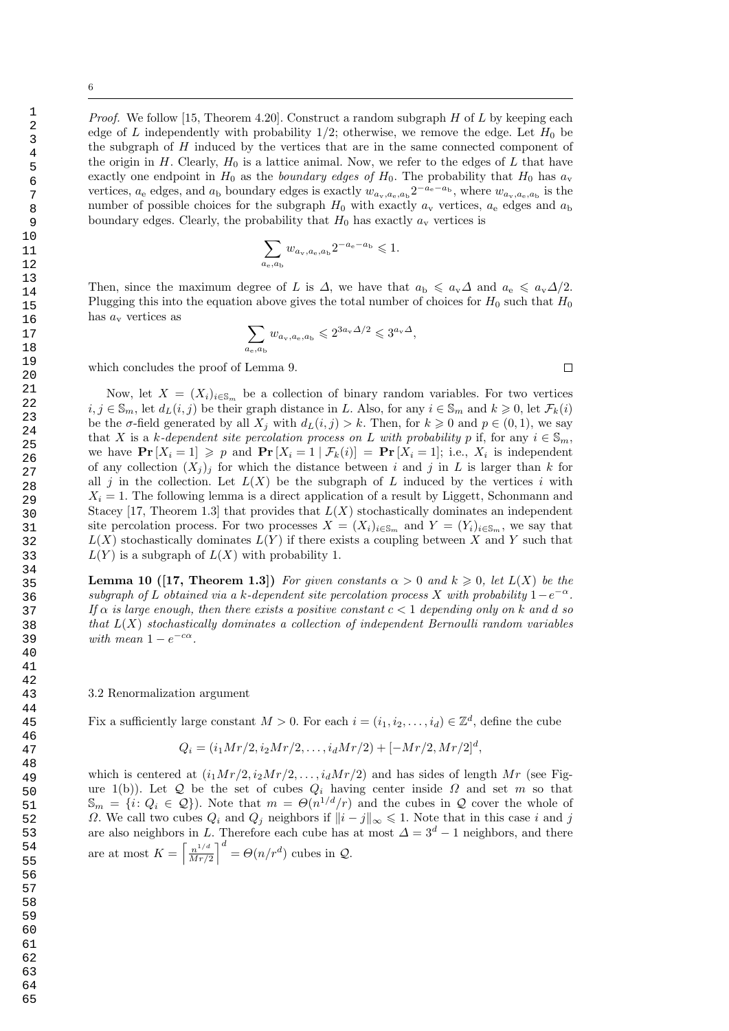*Proof.* We follow [15, Theorem 4.20]. Construct a random subgraph  $H$  of  $L$  by keeping each edge of L independently with probability  $1/2$ ; otherwise, we remove the edge. Let  $H_0$  be the subgraph of H induced by the vertices that are in the same connected component of the origin in H. Clearly,  $H_0$  is a lattice animal. Now, we refer to the edges of L that have exactly one endpoint in  $H_0$  as the *boundary edges of*  $H_0$ . The probability that  $H_0$  has  $a_v$ vertices,  $a_e$  edges, and  $a_b$  boundary edges is exactly  $w_{a_v,a_e,a_b}2^{-a_e-a_b}$ , where  $w_{a_v,a_e,a_b}$  is the number of possible choices for the subgraph  $H_0$  with exactly  $a_v$  vertices,  $a_e$  edges and  $a_b$ boundary edges. Clearly, the probability that  $H_0$  has exactly  $a_v$  vertices is

$$
\sum_{a_{e}, a_{b}} w_{a_{v}, a_{e}, a_{b}} 2^{-a_{e} - a_{b}} \leqslant 1.
$$

Then, since the maximum degree of L is  $\Delta$ , we have that  $a_{\rm b} \leqslant a_{\rm v}\Delta$  and  $a_{\rm e} \leqslant a_{\rm v}\Delta/2$ . Plugging this into the equation above gives the total number of choices for  $H_0$  such that  $H_0$ has  $a_{\rm v}$  vertices as

$$
\sum_{a_{\rm e},a_{\rm b}} w_{a_{\rm v},a_{\rm e},a_{\rm b}}\leqslant 2^{3a_{\rm v}\varDelta/2}\leqslant 3^{a_{\rm v}\varDelta},
$$

which concludes the proof of Lemma 9.

Now, let  $X = (X_i)_{i \in \mathbb{S}_m}$  be a collection of binary random variables. For two vertices  $i, j \in \mathbb{S}_m$ , let  $d_L(i, j)$  be their graph distance in L. Also, for any  $i \in \mathbb{S}_m$  and  $k \geq 0$ , let  $\mathcal{F}_k(i)$ be the  $\sigma$ -field generated by all  $X_j$  with  $d_L(i, j) > k$ . Then, for  $k \geq 0$  and  $p \in (0, 1)$ , we say that X is a k-dependent site percolation process on L with probability p if, for any  $i \in \mathbb{S}_m$ , we have  $\Pr[X_i = 1] \geqslant p$  and  $\Pr[X_i = 1 | \mathcal{F}_k(i)] = \Pr[X_i = 1]$ ; i.e.,  $X_i$  is independent of any collection  $(X_j)_j$  for which the distance between i and j in L is larger than k for all j in the collection. Let  $L(X)$  be the subgraph of L induced by the vertices i with  $X_i = 1$ . The following lemma is a direct application of a result by Liggett, Schonmann and Stacey [17, Theorem 1.3] that provides that  $L(X)$  stochastically dominates an independent site percolation process. For two processes  $X = (X_i)_{i \in \mathbb{S}_m}$  and  $Y = (Y_i)_{i \in \mathbb{S}_m}$ , we say that  $L(X)$  stochastically dominates  $L(Y)$  if there exists a coupling between X and Y such that  $L(Y)$  is a subgraph of  $L(X)$  with probability 1.

**Lemma 10 ([17, Theorem 1.3])** For given constants  $\alpha > 0$  and  $k \geq 0$ , let  $L(X)$  be the subgraph of L obtained via a k-dependent site percolation process X with probability  $1-e^{-\alpha}$ . If  $\alpha$  is large enough, then there exists a positive constant  $c < 1$  depending only on k and d so that  $L(X)$  stochastically dominates a collection of independent Bernoulli random variables with mean  $1 - e^{-c\alpha}$ .

#### 3.2 Renormalization argument

Fix a sufficiently large constant  $M > 0$ . For each  $i = (i_1, i_2, \ldots, i_d) \in \mathbb{Z}^d$ , define the cube

$$
Q_i = (i_1 Mr/2, i_2 Mr/2, \dots, i_d Mr/2) + [-Mr/2, Mr/2]^{d},
$$

which is centered at  $(i_1Mr/2, i_2Mr/2, \ldots, i_dMr/2)$  and has sides of length Mr (see Figure 1(b)). Let Q be the set of cubes  $Q_i$  having center inside  $\Omega$  and set m so that  $\mathbb{S}_m = \{i: Q_i \in \mathcal{Q}\}\)$ . Note that  $m = \Theta(n^{1/d}/r)$  and the cubes in  $\mathcal Q$  cover the whole of  $\Omega$ . We call two cubes  $Q_i$  and  $Q_j$  neighbors if  $||i - j||_{\infty} \leq 1$ . Note that in this case i and j are also neighbors in L. Therefore each cube has at most  $\Delta = 3^d - 1$  neighbors, and there are at most  $K = \left[\frac{n^{1/d}}{M r}\right]$  $\left(\frac{n^{1/d}}{Mr/2}\right)^d = \Theta(n/r^d)$  cubes in  $\mathcal{Q}$ .

 $\Box$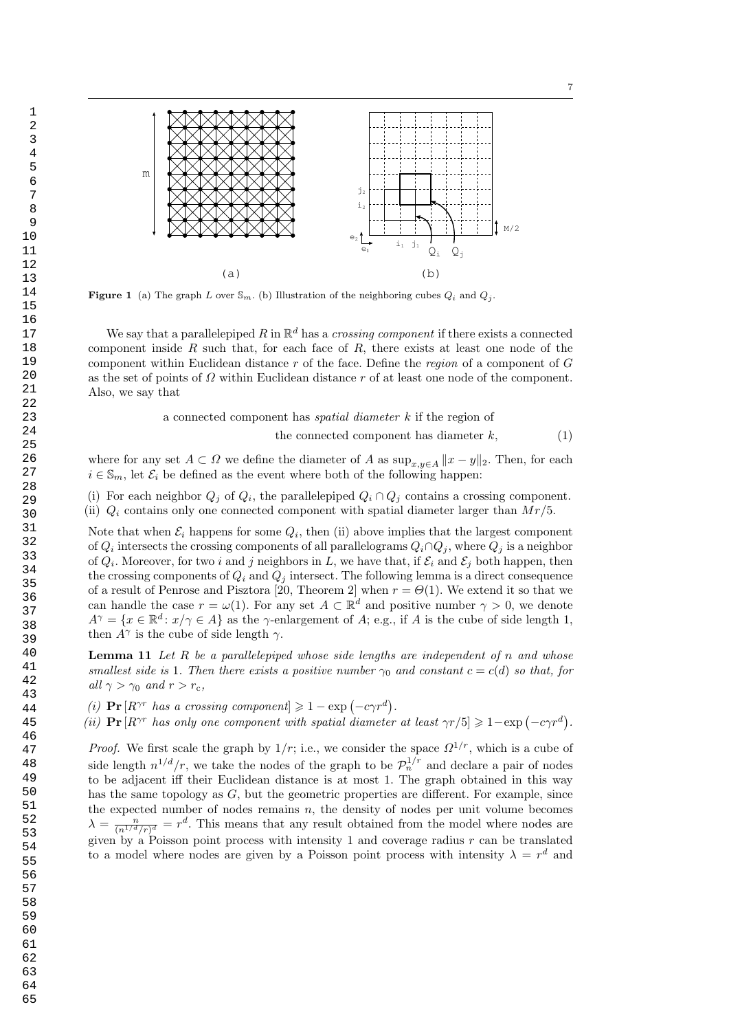

 $e_1$ 

(b)

 $\mathtt{i}_1$ 

 $j_1$ 

 $Q_i$   $Q_i$ 

**Figure 1** (a) The graph L over  $\mathbb{S}_m$ . (b) Illustration of the neighboring cubes  $Q_i$  and  $Q_j$ .

(a)

m

We say that a parallelepiped R in  $\mathbb{R}^d$  has a *crossing component* if there exists a connected component inside  $R$  such that, for each face of  $R$ , there exists at least one node of the component within Euclidean distance r of the face. Define the region of a component of G as the set of points of  $\Omega$  within Euclidean distance r of at least one node of the component. Also, we say that

> a connected component has spatial diameter k if the region of the connected component has diameter  $k$ ,  $(1)$

where for any set  $A \subset \Omega$  we define the diameter of A as  $\sup_{x,y\in A} ||x-y||_2$ . Then, for each  $i \in \mathbb{S}_m$ , let  $\mathcal{E}_i$  be defined as the event where both of the following happen:

(i) For each neighbor  $Q_j$  of  $Q_i$ , the parallelepiped  $Q_i \cap Q_j$  contains a crossing component.

(ii)  $Q_i$  contains only one connected component with spatial diameter larger than  $Mr/5$ .

Note that when  $\mathcal{E}_i$  happens for some  $Q_i$ , then (ii) above implies that the largest component of  $Q_i$  intersects the crossing components of all parallelograms  $Q_i \cap Q_j$ , where  $Q_j$  is a neighbor of  $Q_i$ . Moreover, for two i and j neighbors in L, we have that, if  $\mathcal{E}_i$  and  $\mathcal{E}_j$  both happen, then the crossing components of  $Q_i$  and  $Q_j$  intersect. The following lemma is a direct consequence of a result of Penrose and Pisztora [20, Theorem 2] when  $r = \Theta(1)$ . We extend it so that we can handle the case  $r = \omega(1)$ . For any set  $A \subset \mathbb{R}^d$  and positive number  $\gamma > 0$ , we denote  $A^{\gamma} = \{x \in \mathbb{R}^d : x/\gamma \in A\}$  as the  $\gamma$ -enlargement of A; e.g., if A is the cube of side length 1, then  $A^{\gamma}$  is the cube of side length  $\gamma$ .

**Lemma 11** Let  $R$  be a parallelepiped whose side lengths are independent of  $n$  and whose smallest side is 1. Then there exists a positive number  $\gamma_0$  and constant  $c = c(d)$  so that, for all  $\gamma > \gamma_0$  and  $r > r_c$ ,

- (i)  $\Pr[R^{\gamma r} \text{ has a crossing component}] \geq 1 \exp(-c\gamma r^d).$
- (ii)  $\Pr[R^{\gamma r}$  has only one component with spatial diameter at least  $\gamma r/5 \geq 1 \exp(-c \gamma r^d)$ .

*Proof.* We first scale the graph by  $1/r$ ; i.e., we consider the space  $\Omega^{1/r}$ , which is a cube of side length  $n^{1/d}/r$ , we take the nodes of the graph to be  $\mathcal{P}_n^{1/r}$  and declare a pair of nodes to be adjacent iff their Euclidean distance is at most 1. The graph obtained in this way has the same topology as  $G$ , but the geometric properties are different. For example, since the expected number of nodes remains  $n$ , the density of nodes per unit volume becomes  $\lambda = \frac{n}{(n^{1/d}/r)^d} = r^d$ . This means that any result obtained from the model where nodes are given by a Poisson point process with intensity 1 and coverage radius  $r$  can be translated to a model where nodes are given by a Poisson point process with intensity  $\lambda = r^d$  and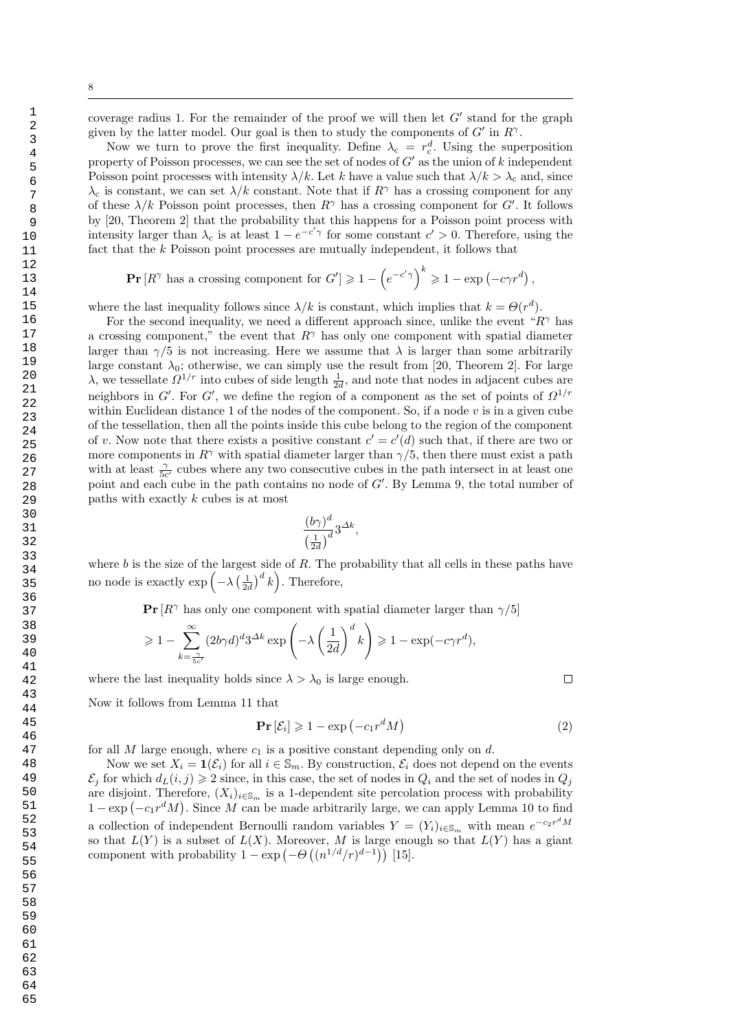coverage radius 1. For the remainder of the proof we will then let  $G'$  stand for the graph given by the latter model. Our goal is then to study the components of  $G'$  in  $R^{\gamma}$ .

Now we turn to prove the first inequality. Define  $\lambda_c = r_c^d$ . Using the superposition property of Poisson processes, we can see the set of nodes of  $G'$  as the union of k independent Poisson point processes with intensity  $\lambda/k$ . Let k have a value such that  $\lambda/k > \lambda_c$  and, since  $\lambda_c$  is constant, we can set  $\lambda/k$  constant. Note that if  $R^{\gamma}$  has a crossing component for any of these  $\lambda/k$  Poisson point processes, then  $R^{\gamma}$  has a crossing component for G'. It follows by [20, Theorem 2] that the probability that this happens for a Poisson point process with intensity larger than  $\lambda_c$  is at least  $1 - e^{-c'\gamma}$  for some constant  $c' > 0$ . Therefore, using the fact that the k Poisson point processes are mutually independent, it follows that

$$
\Pr\left[R^{\gamma} \text{ has a crossing component for } G'\right] \geq 1 - \left(e^{-c'\gamma}\right)^k \geq 1 - \exp\left(-c\gamma r^d\right),
$$

where the last inequality follows since  $\lambda/k$  is constant, which implies that  $k = \Theta(r^d)$ .

For the second inequality, we need a different approach since, unlike the event " $R<sup>γ</sup>$  has a crossing component," the event that  $R^{\gamma}$  has only one component with spatial diameter larger than  $\gamma/5$  is not increasing. Here we assume that  $\lambda$  is larger than some arbitrarily large constant  $\lambda_0$ ; otherwise, we can simply use the result from [20, Theorem 2]. For large λ, we tessellate  $\Omega^{1/r}$  into cubes of side length  $\frac{1}{2d}$ , and note that nodes in adjacent cubes are neighbors in G'. For G', we define the region of a component as the set of points of  $\Omega^{1/r}$ within Euclidean distance 1 of the nodes of the component. So, if a node  $v$  is in a given cube of the tessellation, then all the points inside this cube belong to the region of the component of v. Now note that there exists a positive constant  $c' = c'(d)$  such that, if there are two or more components in  $R^{\gamma}$  with spatial diameter larger than  $\gamma/5$ , then there must exist a path with at least  $\frac{\gamma}{5c'}$  cubes where any two consecutive cubes in the path intersect in at least one point and each cube in the path contains no node of  $G'$ . By Lemma 9, the total number of paths with exactly k cubes is at most

$$
\frac{(b\gamma)^d}{\left(\frac{1}{2d}\right)^d} 3^{\Delta k},
$$

where  $b$  is the size of the largest side of  $R$ . The probability that all cells in these paths have no node is exactly  $\exp\left(-\lambda\left(\frac{1}{2d}\right)^d k\right)$ . Therefore,

**Pr**  $[R^{\gamma}$  has only one component with spatial diameter larger than  $\gamma/5$ 

$$
\geq 1 - \sum_{k=\frac{\gamma}{5c'}}^{\infty} (2b\gamma d)^d 3^{\Delta k} \exp\left(-\lambda \left(\frac{1}{2d}\right)^d k\right) \geq 1 - \exp(-c\gamma r^d),
$$

where the last inequality holds since  $\lambda > \lambda_0$  is large enough.

Now it follows from Lemma 11 that

$$
\mathbf{Pr}\left[\mathcal{E}_i\right] \geqslant 1 - \exp\left(-c_1 r^d M\right) \tag{2}
$$

for all  $M$  large enough, where  $c_1$  is a positive constant depending only on  $d$ .

Now we set  $X_i = \mathbf{1}(\mathcal{E}_i)$  for all  $i \in \mathbb{S}_m$ . By construction,  $\mathcal{E}_i$  does not depend on the events  $\mathcal{E}_i$  for which  $d_L(i, j) \geq 2$  since, in this case, the set of nodes in  $Q_i$  and the set of nodes in  $Q_j$ are disjoint. Therefore,  $(X_i)_{i\in\mathbb{S}_m}$  is a 1-dependent site percolation process with probability  $1 - \exp(-c_1 r^d M)$ . Since M can be made arbitrarily large, we can apply Lemma 10 to find a collection of independent Bernoulli random variables  $Y = (Y_i)_{i \in \mathbb{S}_m}$  with mean  $e^{-c_2 r^d M}$ so that  $L(Y)$  is a subset of  $L(X)$ . Moreover, M is large enough so that  $L(Y)$  has a giant component with probability  $1 - \exp(-\Theta((n^{1/d}/r)^{d-1}))$  [15].

1

 $\Box$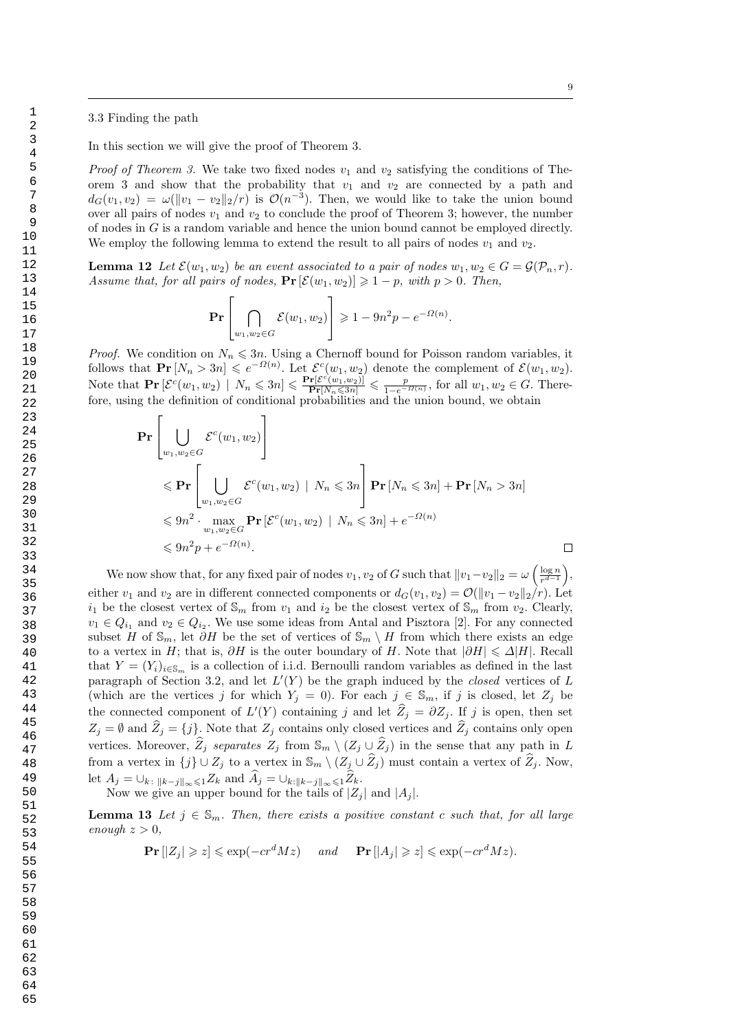#### 3.3 Finding the path

In this section we will give the proof of Theorem 3.

*Proof of Theorem 3.* We take two fixed nodes  $v_1$  and  $v_2$  satisfying the conditions of Theorem 3 and show that the probability that  $v_1$  and  $v_2$  are connected by a path and  $d_G(v_1, v_2) = \omega(||v_1 - v_2||_2/r)$  is  $\mathcal{O}(n^{-3})$ . Then, we would like to take the union bound over all pairs of nodes  $v_1$  and  $v_2$  to conclude the proof of Theorem 3; however, the number of nodes in  $G$  is a random variable and hence the union bound cannot be employed directly. We employ the following lemma to extend the result to all pairs of nodes  $v_1$  and  $v_2$ .

**Lemma 12** Let  $\mathcal{E}(w_1, w_2)$  be an event associated to a pair of nodes  $w_1, w_2 \in G = \mathcal{G}(\mathcal{P}_n, r)$ . Assume that, for all pairs of nodes,  $\Pr\left[\mathcal{E}(w_1, w_2)\right] \geq 1 - p$ , with  $p > 0$ . Then,

$$
\mathbf{Pr}\left[\bigcap_{w_1, w_2 \in G} \mathcal{E}(w_1, w_2)\right] \geqslant 1 - 9n^2 p - e^{-\Omega(n)}.
$$

*Proof.* We condition on  $N_n \leq 3n$ . Using a Chernoff bound for Poisson random variables, it follows that  $\mathbf{Pr}\left[N_n > 3n\right] \leqslant e^{-\Omega(n)}$ . Let  $\mathcal{E}^c(w_1, w_2)$  denote the complement of  $\mathcal{E}(w_1, w_2)$ . Note that  $\mathbf{Pr}\left[\mathcal{E}^c(w_1, w_2) \mid N_n \leqslant 3n\right] \leqslant \frac{\mathbf{Pr}\left[\mathcal{E}^c(w_1, w_2)\right]}{\mathbf{Pr}\left[N_n \leqslant 3n\right]} \leqslant \frac{p}{1 - e^{-\Omega(n)}}$ , for all  $w_1, w_2 \in G$ . Therefore, using the definition of conditional probabilities and the union bound, we obtain

$$
\begin{aligned}\n\mathbf{Pr} & \left[ \bigcup_{w_1, w_2 \in G} \mathcal{E}^c(w_1, w_2) \right] \\
& \leqslant \mathbf{Pr} \left[ \bigcup_{w_1, w_2 \in G} \mathcal{E}^c(w_1, w_2) \mid N_n \leqslant 3n \right] \mathbf{Pr} \left[ N_n \leqslant 3n \right] + \mathbf{Pr} \left[ N_n > 3n \right] \\
& \leqslant 9n^2 \cdot \max_{w_1, w_2 \in G} \mathbf{Pr} \left[ \mathcal{E}^c(w_1, w_2) \mid N_n \leqslant 3n \right] + e^{-\Omega(n)} \\
& \leqslant 9n^2 p + e^{-\Omega(n)}. \n\end{aligned}
$$

We now show that, for any fixed pair of nodes  $v_1, v_2$  of G such that  $||v_1-v_2||_2 = \omega \left(\frac{\log n}{r^{d-1}}\right)$  $\frac{\log n}{r^{d-1}}\bigg),$ either  $v_1$  and  $v_2$  are in different connected components or  $d_G(v_1, v_2) = \mathcal{O}(\|v_1 - v_2\|_2/r)$ . Let  $i_1$  be the closest vertex of  $\mathbb{S}_m$  from  $v_1$  and  $i_2$  be the closest vertex of  $\mathbb{S}_m$  from  $v_2$ . Clearly,  $v_1 \in Q_{i_1}$  and  $v_2 \in Q_{i_2}$ . We use some ideas from Antal and Pisztora [2]. For any connected subset H of  $\mathbb{S}_m$ , let  $\partial H$  be the set of vertices of  $\mathbb{S}_m \setminus H$  from which there exists an edge to a vertex in H; that is,  $\partial H$  is the outer boundary of H. Note that  $|\partial H| \leq \Delta |H|$ . Recall that  $Y = (Y_i)_{i \in \mathbb{S}_m}$  is a collection of i.i.d. Bernoulli random variables as defined in the last paragraph of Section 3.2, and let  $L'(Y)$  be the graph induced by the *closed* vertices of L (which are the vertices j for which  $Y_j = 0$ ). For each  $j \in \mathbb{S}_m$ , if j is closed, let  $Z_j$  be the connected component of  $L'(Y)$  containing j and let  $\hat{Z}_j = \partial Z_j$ . If j is open, then set  $Z_j = \emptyset$  and  $\widehat{Z}_j = \{j\}$ . Note that  $Z_j$  contains only closed vertices and  $\widehat{Z}_j$  contains only open vertices. Moreover,  $\hat{Z}_j$  separates  $Z_j$  from  $\mathbb{S}_m \setminus (Z_j \cup \hat{Z}_j)$  in the sense that any path in L from a vertex in  $\{j\} \cup Z_j$  to a vertex in  $\mathbb{S}_m \setminus (Z_j \cup \widehat{Z}_j)$  must contain a vertex of  $\widehat{Z}_j$ . Now, let  $A_j = \bigcup_{k \colon ||k-j||_{\infty} \leq 1} Z_k$  and  $\widehat{A}_j = \bigcup_{k : ||k-j||_{\infty} \leq 1} \widehat{Z}_k$ . Now we give an upper bound for the tails of  $|Z_i|$  and  $|A_i|$ .

**Lemma 13** Let  $j \in \mathbb{S}_m$ . Then, there exists a positive constant c such that, for all large enough  $z > 0$ ,

 $\Pr |Z_i| \geqslant z| \leqslant \exp(-cr^dMz)$  and  $\Pr |A_i| \geqslant z| \leqslant \exp(-cr^dMz).$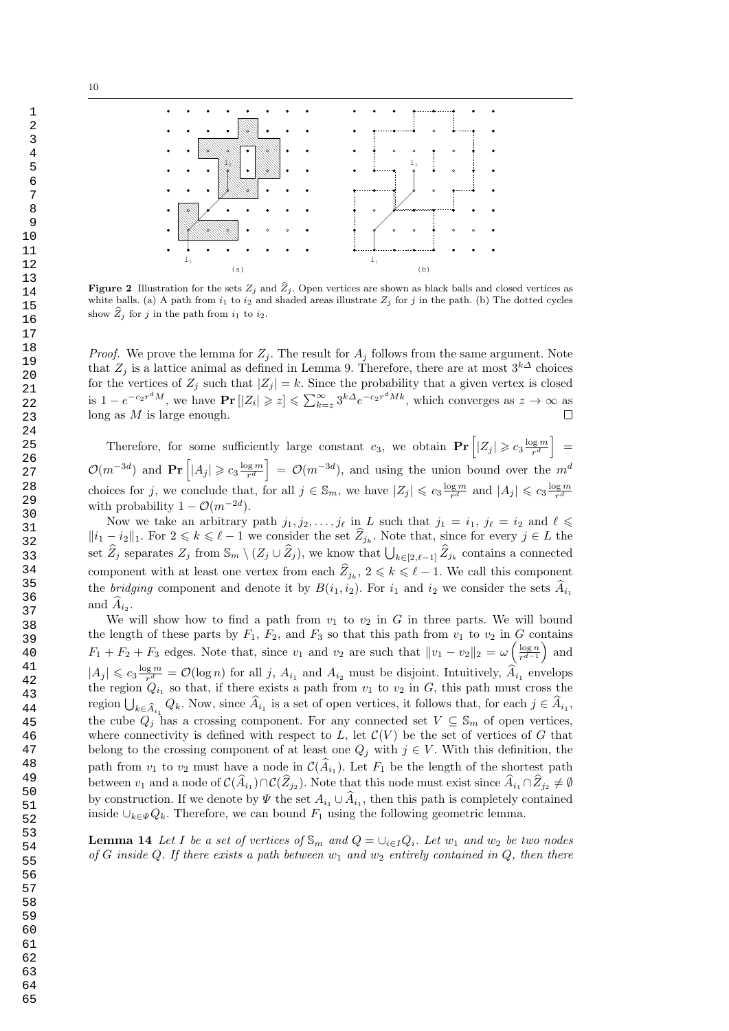

**Figure 2** Illustration for the sets  $Z_i$  and  $\hat{Z}_i$ . Open vertices are shown as black balls and closed vertices as white balls. (a) A path from  $i_1$  to  $i_2$  and shaded areas illustrate  $Z_j$  for j in the path. (b) The dotted cycles show  $\widehat{Z}_i$  for j in the path from  $i_1$  to  $i_2$ .

*Proof.* We prove the lemma for  $Z_j$ . The result for  $A_j$  follows from the same argument. Note that  $Z_j$  is a lattice animal as defined in Lemma 9. Therefore, there are at most  $3^{k\Delta}$  choices for the vertices of  $Z_j$  such that  $|Z_j| = k$ . Since the probability that a given vertex is closed is  $1 - e^{-c_2 r^d M}$ , we have  $\Pr[|Z_i| \geq z] \leq \sum_{k=z}^{\infty} 3^{k\Delta} e^{-c_2 r^d M k}$ , which converges as  $z \to \infty$  as long as  $M$  is large enough.  $\Box$ 

Therefore, for some sufficiently large constant  $c_3$ , we obtain  $\Pr\left[|Z_j|\geqslant c_3\frac{\log m}{r^d}\right]$  $\left[\frac{\log m}{r^d}\right]$  =  $\mathcal{O}(m^{-3d})$  and  $\Pr\left[|A_j|\geqslant c_3\frac{\log m}{r^d}\right]$  $\left[\frac{\log m}{r^d}\right] = \mathcal{O}(m^{-3d})$ , and using the union bound over the  $m^d$ choices for j, we conclude that, for all  $j \in \mathbb{S}_m$ , we have  $|Z_j| \leqslant c_3 \frac{\log m}{r^d}$  $\frac{\log m}{r^d}$  and  $|A_j| \leqslant c_3 \frac{\log m}{r^d}$ r d with probability  $1 - \mathcal{O}(m^{-2d}).$ 

Now we take an arbitrary path  $j_1, j_2, \ldots, j_\ell$  in L such that  $j_1 = i_1, j_\ell = i_2$  and  $\ell \leq$  $||i_1 - i_2||_1$ . For  $2 \leq k \leq \ell - 1$  we consider the set  $\widehat{Z}_{j_k}$ . Note that, since for every  $j \in L$  the set  $\widehat{Z}_j$  separates  $Z_j$  from  $\mathbb{S}_m \setminus (Z_j \cup \widehat{Z}_j)$ , we know that  $\bigcup_{k \in [2,\ell-1]} \widehat{Z}_{j_k}$  contains a connected component with at least one vertex from each  $\hat{Z}_{j_k}$ ,  $2 \leq k \leq \ell - 1$ . We call this component the bridging component and denote it by  $B(i_1, i_2)$ . For  $i_1$  and  $i_2$  we consider the sets  $\hat{A}_{i_1}$ and  $A_{i_2}$ .

We will show how to find a path from  $v_1$  to  $v_2$  in G in three parts. We will bound the length of these parts by  $F_1$ ,  $F_2$ , and  $F_3$  so that this path from  $v_1$  to  $v_2$  in G contains  $F_1 + F_2 + F_3$  edges. Note that, since  $v_1$  and  $v_2$  are such that  $||v_1 - v_2||_2 = \omega \left(\frac{\log n}{r^{d-1}}\right)$  $\frac{\log n}{r^{d-1}}$  and  $|A_j| \leqslant c_3 \frac{\log m}{r^d}$  $\frac{q\cdot m}{r^d} = \mathcal{O}(\log n)$  for all j,  $A_{i_1}$  and  $A_{i_2}$  must be disjoint. Intuitively,  $A_{i_1}$  envelops the region  $Q_{i_1}$  so that, if there exists a path from  $v_1$  to  $v_2$  in G, this path must cross the region  $\bigcup_{k \in \widehat{A}_{i_1}} Q_k$ . Now, since  $A_{i_1}$  is a set of open vertices, it follows that, for each  $j \in A_{i_1}$ , the cube  $Q_j$  has a crossing component. For any connected set  $V \subseteq \mathbb{S}_m$  of open vertices, where connectivity is defined with respect to  $L$ , let  $\mathcal{C}(V)$  be the set of vertices of G that belong to the crossing component of at least one  $Q_j$  with  $j \in V$ . With this definition, the path from  $v_1$  to  $v_2$  must have a node in  $\mathcal{C}(A_{i_1})$ . Let  $F_1$  be the length of the shortest path between  $v_1$  and a node of  $\mathcal{C}(A_{i_1}) \cap \mathcal{C}(Z_{j_2})$ . Note that this node must exist since  $A_{i_1} \cap Z_{j_2} \neq \emptyset$ by construction. If we denote by  $\Psi$  the set  $A_{i_1} \cup A_{i_1}$ , then this path is completely contained inside  $\cup_{k\in\mathcal{V}}Q_k$ . Therefore, we can bound  $F_1$  using the following geometric lemma.

**Lemma 14** Let I be a set of vertices of  $\mathbb{S}_m$  and  $Q = \bigcup_{i \in I} Q_i$ . Let  $w_1$  and  $w_2$  be two nodes of G inside Q. If there exists a path between  $w_1$  and  $w_2$  entirely contained in Q, then there

1

10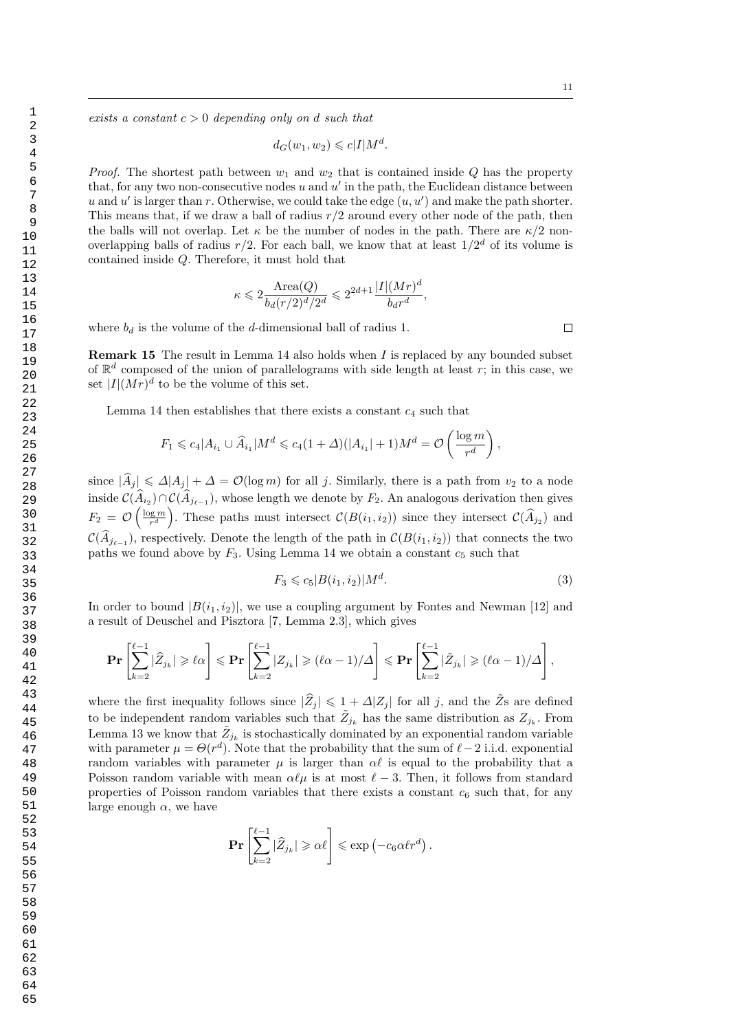exists a constant  $c > 0$  depending only on d such that

$$
d_G(w_1, w_2) \leqslant c|I|M^d.
$$

*Proof.* The shortest path between  $w_1$  and  $w_2$  that is contained inside Q has the property that, for any two non-consecutive nodes  $u$  and  $u'$  in the path, the Euclidean distance between u and u' is larger than r. Otherwise, we could take the edge  $(u, u')$  and make the path shorter. This means that, if we draw a ball of radius  $r/2$  around every other node of the path, then the balls will not overlap. Let  $\kappa$  be the number of nodes in the path. There are  $\kappa/2$  nonoverlapping balls of radius  $r/2$ . For each ball, we know that at least  $1/2^d$  of its volume is contained inside Q. Therefore, it must hold that

$$
\kappa \leqslant 2 \frac{\text{Area}(Q)}{b_d(r/2)^d/2^d} \leqslant 2^{2d+1} \frac{|I|(Mr)^d}{b_d r^d},
$$

where  $b_d$  is the volume of the d-dimensional ball of radius 1.

**Remark 15** The result in Lemma 14 also holds when  $I$  is replaced by any bounded subset of  $\mathbb{R}^d$  composed of the union of parallelograms with side length at least r; in this case, we set  $|I|(Mr)^d$  to be the volume of this set.

Lemma 14 then establishes that there exists a constant  $c_4$  such that

$$
F_1 \leq c_4 |A_{i_1} \cup \widehat{A}_{i_1}| M^d \leq c_4 (1 + \Delta)(|A_{i_1}| + 1)M^d = \mathcal{O}\left(\frac{\log m}{r^d}\right),
$$

since  $|\widehat{A}_j| \leq \Delta |A_j| + \Delta = \mathcal{O}(\log m)$  for all j. Similarly, there is a path from  $v_2$  to a node inside  $\mathcal{C}(A_{i_2}) \cap \mathcal{C}(A_{j_{\ell-1}})$ , whose length we denote by  $F_2$ . An analogous derivation then gives  $F_2 = \mathcal{O}\left(\frac{\log m}{r^d}\right)$  $\frac{\log m}{r^d}$ . These paths must intersect  $\mathcal{C}(B(i_1, i_2))$  since they intersect  $\mathcal{C}(\widehat{A}_{j_2})$  and  $\mathcal{C}(A_{j_{\ell-1}})$ , respectively. Denote the length of the path in  $\mathcal{C}(B(i_1, i_2))$  that connects the two paths we found above by  $F_3$ . Using Lemma 14 we obtain a constant  $c_5$  such that

$$
F_3 \leqslant c_5 |B(i_1, i_2)| M^d. \tag{3}
$$

In order to bound  $|B(i_1, i_2)|$ , we use a coupling argument by Fontes and Newman [12] and a result of Deuschel and Pisztora [7, Lemma 2.3], which gives

$$
\mathbf{Pr}\left[\sum_{k=2}^{\ell-1}|\widehat{Z}_{j_k}|\geqslant \ell\alpha\right]\leqslant \mathbf{Pr}\left[\sum_{k=2}^{\ell-1}|Z_{j_k}|\geqslant (\ell\alpha-1)/\Delta\right]\leqslant \mathbf{Pr}\left[\sum_{k=2}^{\ell-1}|\widetilde{Z}_{j_k}|\geqslant (\ell\alpha-1)/\Delta\right],
$$

where the first inequality follows since  $|\widehat{Z}_j| \leq 1 + \Delta |Z_j|$  for all j, and the  $\widetilde{Z}_s$  are defined to be independent random variables such that  $\tilde{Z}_{j_k}$  has the same distribution as  $Z_{j_k}$ . From Lemma 13 we know that  $\tilde{Z}_{j_k}$  is stochastically dominated by an exponential random variable with parameter  $\mu = \Theta(r^d)$ . Note that the probability that the sum of  $\ell - 2$  i.i.d. exponential random variables with parameter  $\mu$  is larger than  $\alpha\ell$  is equal to the probability that a Poisson random variable with mean  $\alpha \ell \mu$  is at most  $\ell - 3$ . Then, it follows from standard properties of Poisson random variables that there exists a constant  $c_6$  such that, for any large enough  $\alpha$ , we have

$$
\Pr\left[\sum_{k=2}^{\ell-1}|\widehat{Z}_{j_k}|\geqslant\alpha\ell\right]\leqslant\exp\left(-c_6\alpha\ell r^d\right).
$$

 $\Box$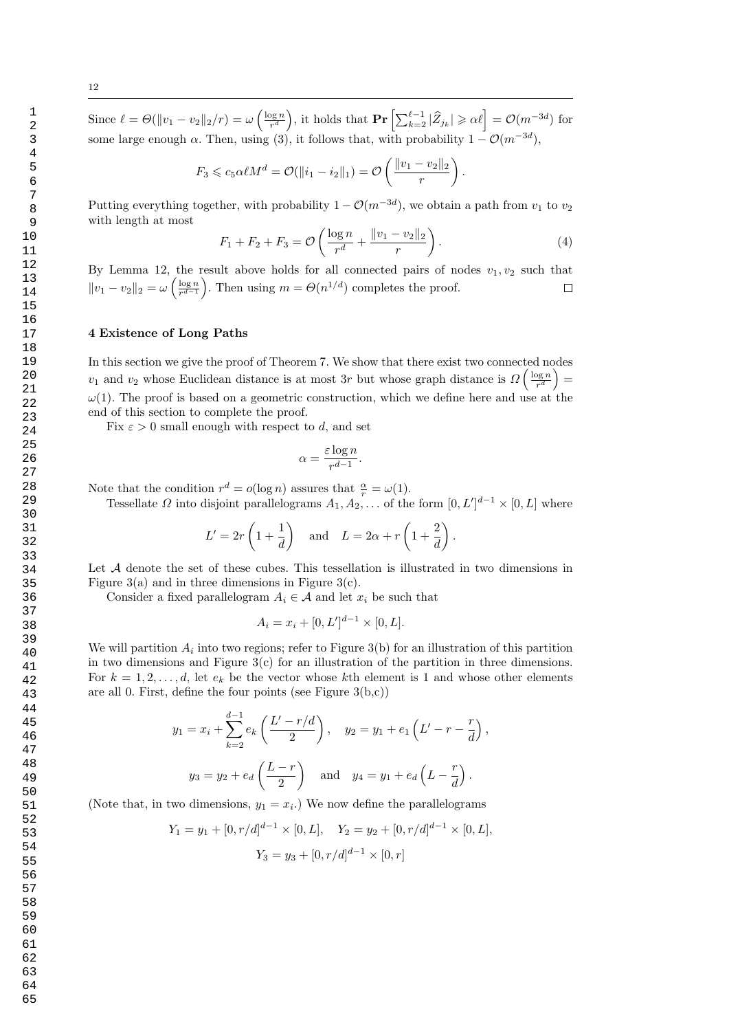Since  $\ell = \Theta(\|v_1 - v_2\|_2/r) = \omega\left(\frac{\log n}{r^d}\right)$  $\frac{\log n}{r^d}$ , it holds that  $\mathbf{Pr}\left[\sum_{k=2}^{\ell-1} |\widehat{Z}_{j_k}| \geqslant \alpha \ell\right] = \mathcal{O}(m^{-3d})$  for some large enough  $\alpha$ . Then, using (3), it follows that, with probability  $1 - \mathcal{O}(m^{-3d})$ ,

$$
F_3 \leq c_5 \alpha \ell M^d = \mathcal{O}(\|i_1 - i_2\|_1) = \mathcal{O}\left(\frac{\|v_1 - v_2\|_2}{r}\right).
$$

Putting everything together, with probability  $1 - \mathcal{O}(m^{-3d})$ , we obtain a path from  $v_1$  to  $v_2$ with length at most

$$
F_1 + F_2 + F_3 = \mathcal{O}\left(\frac{\log n}{r^d} + \frac{\|v_1 - v_2\|_2}{r}\right). \tag{4}
$$

By Lemma 12, the result above holds for all connected pairs of nodes  $v_1, v_2$  such that  $||v_1 - v_2||_2 = \omega \left(\frac{\log n}{r^{d-1}}\right)$  $\frac{\log n}{r^{d-1}}$ . Then using  $m = \Theta(n^{1/d})$  completes the proof.  $\Box$ 

#### 4 Existence of Long Paths

In this section we give the proof of Theorem 7. We show that there exist two connected nodes  $v_1$  and  $v_2$  whose Euclidean distance is at most 3r but whose graph distance is  $\Omega\left(\frac{\log n}{r^d}\right)$  $\frac{\log n}{r^d}\Big) =$  $\omega(1)$ . The proof is based on a geometric construction, which we define here and use at the end of this section to complete the proof.

Fix  $\varepsilon > 0$  small enough with respect to d, and set

$$
\alpha = \frac{\varepsilon \log n}{r^{d-1}}.
$$

Note that the condition  $r^d = o(\log n)$  assures that  $\frac{\alpha}{r} = \omega(1)$ .

Tessellate  $\Omega$  into disjoint parallelograms  $A_1, A_2, \ldots$  of the form  $[0, L']^{d-1} \times [0, L]$  where

$$
L' = 2r\left(1 + \frac{1}{d}\right) \quad \text{and} \quad L = 2\alpha + r\left(1 + \frac{2}{d}\right).
$$

Let A denote the set of these cubes. This tessellation is illustrated in two dimensions in Figure 3(a) and in three dimensions in Figure 3(c).

Consider a fixed parallelogram  $A_i \in \mathcal{A}$  and let  $x_i$  be such that

$$
A_i = x_i + [0, L']^{d-1} \times [0, L].
$$

We will partition  $A_i$  into two regions; refer to Figure 3(b) for an illustration of this partition in two dimensions and Figure 3(c) for an illustration of the partition in three dimensions. For  $k = 1, 2, \ldots, d$ , let  $e_k$  be the vector whose kth element is 1 and whose other elements are all 0. First, define the four points (see Figure  $3(b,c)$ )

$$
y_1 = x_i + \sum_{k=2}^{d-1} e_k \left( \frac{L' - r/d}{2} \right), \quad y_2 = y_1 + e_1 \left( L' - r - \frac{r}{d} \right),
$$
  
 $y_3 = y_2 + e_d \left( \frac{L - r}{2} \right) \quad \text{and} \quad y_4 = y_1 + e_d \left( L - \frac{r}{d} \right).$ 

(Note that, in two dimensions,  $y_1 = x_i$ .) We now define the parallelograms

$$
Y_1 = y_1 + [0, r/d]^{d-1} \times [0, L], \quad Y_2 = y_2 + [0, r/d]^{d-1} \times [0, L],
$$
  

$$
Y_3 = y_3 + [0, r/d]^{d-1} \times [0, r]
$$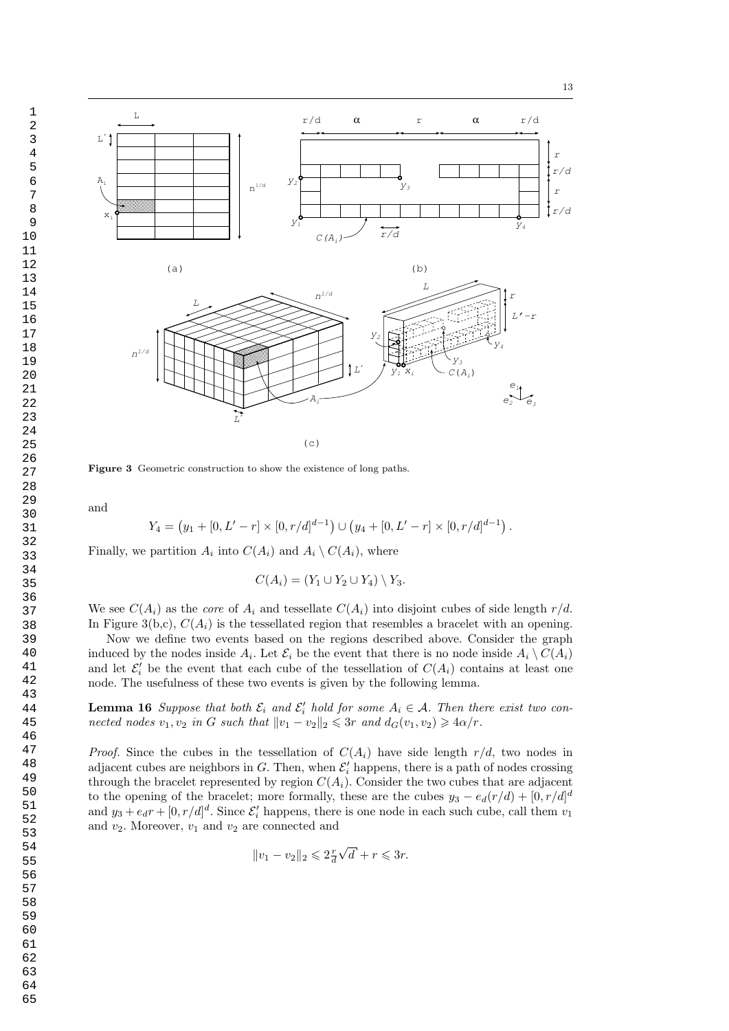



Figure 3 Geometric construction to show the existence of long paths.

and

$$
Y_4 = (y_1 + [0, L' - r] \times [0, r/d]^{d-1}) \cup (y_4 + [0, L' - r] \times [0, r/d]^{d-1}).
$$

Finally, we partition  $A_i$  into  $C(A_i)$  and  $A_i \setminus C(A_i)$ , where

$$
C(A_i) = (Y_1 \cup Y_2 \cup Y_4) \setminus Y_3.
$$

We see  $C(A_i)$  as the *core* of  $A_i$  and tessellate  $C(A_i)$  into disjoint cubes of side length  $r/d$ . In Figure 3(b,c),  $C(A_i)$  is the tessellated region that resembles a bracelet with an opening.

Now we define two events based on the regions described above. Consider the graph induced by the nodes inside  $A_i$ . Let  $\mathcal{E}_i$  be the event that there is no node inside  $A_i \setminus C(A_i)$ and let  $\mathcal{E}'_i$  be the event that each cube of the tessellation of  $C(A_i)$  contains at least one node. The usefulness of these two events is given by the following lemma.

**Lemma 16** Suppose that both  $\mathcal{E}_i$  and  $\mathcal{E}'_i$  hold for some  $A_i \in \mathcal{A}$ . Then there exist two connected nodes  $v_1, v_2$  in G such that  $||v_1 - v_2||_2 \leq 3r$  and  $d_G(v_1, v_2) \geq 4\alpha/r$ .

*Proof.* Since the cubes in the tessellation of  $C(A_i)$  have side length  $r/d$ , two nodes in adjacent cubes are neighbors in G. Then, when  $\mathcal{E}'_i$  happens, there is a path of nodes crossing through the bracelet represented by region  $C(A_i)$ . Consider the two cubes that are adjacent to the opening of the bracelet; more formally, these are the cubes  $y_3 - e_d(r/d) + [0, r/d]^d$ and  $y_3 + e_d r + [0, r/d]^d$ . Since  $\mathcal{E}'_i$  happens, there is one node in each such cube, call them  $v_1$ and  $v_2$ . Moreover,  $v_1$  and  $v_2$  are connected and

$$
||v_1 - v_2||_2 \leqslant 2\frac{r}{d}\sqrt{d} + r \leqslant 3r.
$$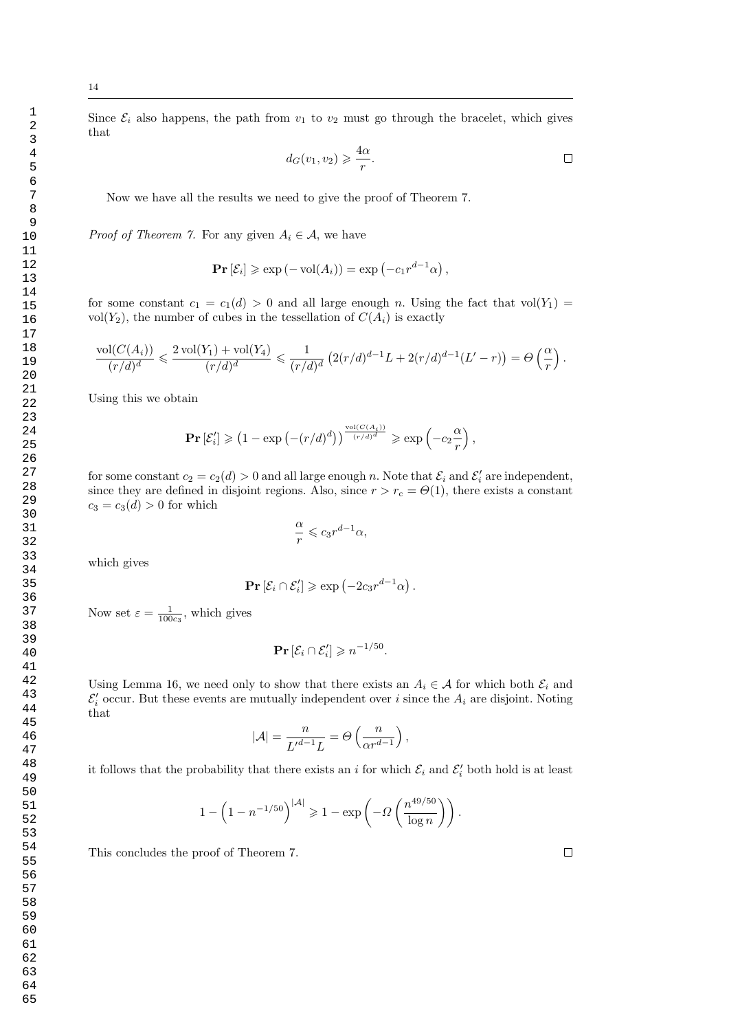Since  $\mathcal{E}_i$  also happens, the path from  $v_1$  to  $v_2$  must go through the bracelet, which gives that

$$
d_G(v_1, v_2) \geqslant \frac{4\alpha}{r}.
$$

Now we have all the results we need to give the proof of Theorem 7.

*Proof of Theorem 7.* For any given  $A_i \in \mathcal{A}$ , we have

$$
\mathbf{Pr}\left[\mathcal{E}_i\right] \geqslant \exp\left(-\text{vol}(A_i)\right) = \exp\left(-c_1 r^{d-1} \alpha\right),
$$

for some constant  $c_1 = c_1(d) > 0$  and all large enough n. Using the fact that vol $(Y_1)$ vol $(Y_2)$ , the number of cubes in the tessellation of  $C(A_i)$  is exactly

$$
\frac{\text{vol}(C(A_i))}{(r/d)^d} \leqslant \frac{2\,\text{vol}(Y_1)+\text{vol}(Y_4)}{(r/d)^d} \leqslant \frac{1}{(r/d)^d} \left(2(r/d)^{d-1}L + 2(r/d)^{d-1}(L'-r)\right) = \Theta\left(\frac{\alpha}{r}\right).
$$

Using this we obtain

$$
\mathbf{Pr}\left[\mathcal{E}'_i\right] \geqslant \left(1 - \exp\left(-\left(r/d\right)^d\right)\right)^{\frac{\operatorname{vol}\left(C(A_i)\right)}{\left(r/d\right)^d}} \geqslant \exp\left(-c_2\frac{\alpha}{r}\right),
$$

for some constant  $c_2 = c_2(d) > 0$  and all large enough n. Note that  $\mathcal{E}_i$  and  $\mathcal{E}'_i$  are independent, since they are defined in disjoint regions. Also, since  $r > r_c = \Theta(1)$ , there exists a constant  $c_3 = c_3(d) > 0$  for which

$$
\frac{\alpha}{r} \leqslant c_3 r^{d-1} \alpha,
$$

which gives

$$
\mathbf{Pr}\left[\mathcal{E}_i \cap \mathcal{E}'_i\right] \geqslant \exp\left(-2c_3 r^{d-1} \alpha\right).
$$

Now set  $\varepsilon = \frac{1}{100c_3}$ , which gives

$$
\Pr\left[\mathcal{E}_i \cap \mathcal{E}'_i\right] \geqslant n^{-1/50}.
$$

Using Lemma 16, we need only to show that there exists an  $A_i \in \mathcal{A}$  for which both  $\mathcal{E}_i$  and  $\mathcal{E}'_i$  occur. But these events are mutually independent over i since the  $A_i$  are disjoint. Noting that

$$
|\mathcal{A}| = \frac{n}{L'^{d-1}L} = \Theta\left(\frac{n}{\alpha r^{d-1}}\right),\,
$$

it follows that the probability that there exists an i for which  $\mathcal{E}_i$  and  $\mathcal{E}'_i$  both hold is at least

$$
1 - \left(1 - n^{-1/50}\right)^{|\mathcal{A}|} \geqslant 1 - \exp\left(-\Omega\left(\frac{n^{49/50}}{\log n}\right)\right).
$$

This concludes the proof of Theorem 7.

 $\Box$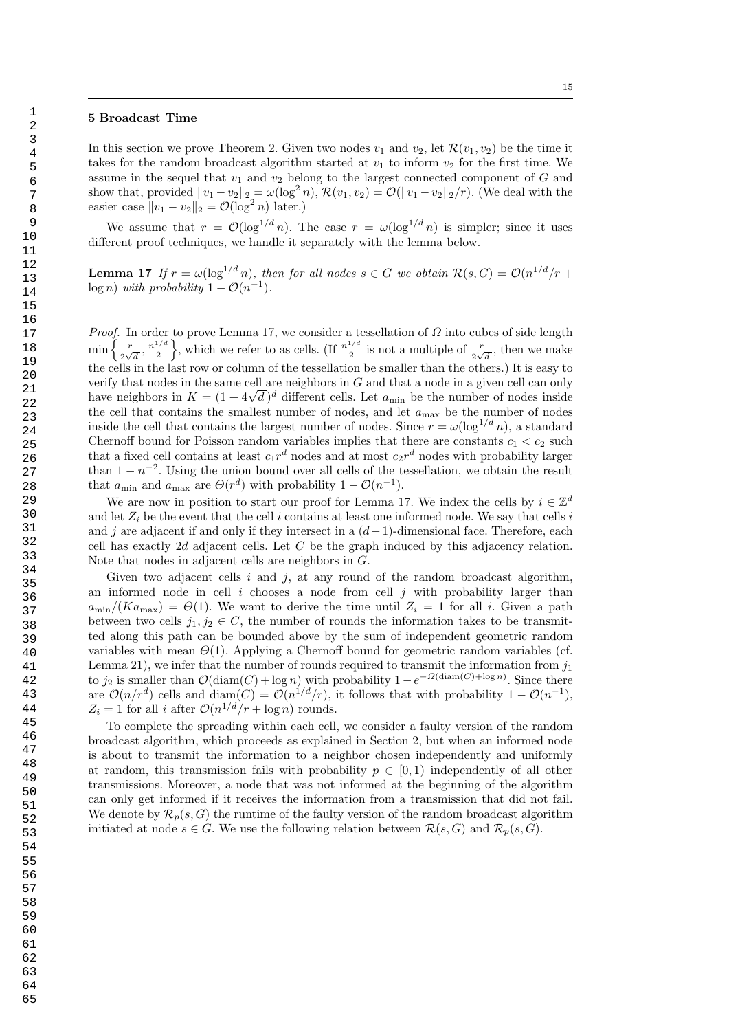## 5 Broadcast Time

In this section we prove Theorem 2. Given two nodes  $v_1$  and  $v_2$ , let  $\mathcal{R}(v_1, v_2)$  be the time it takes for the random broadcast algorithm started at  $v_1$  to inform  $v_2$  for the first time. We assume in the sequel that  $v_1$  and  $v_2$  belong to the largest connected component of G and show that, provided  $||v_1 - v_2||_2 = \omega(\log^2 n)$ ,  $\mathcal{R}(v_1, v_2) = \mathcal{O}(||v_1 - v_2||_2/r)$ . (We deal with the easier case  $||v_1 - v_2||_2 = \mathcal{O}(\log^2 n)$  later.)

We assume that  $r = \mathcal{O}(\log^{1/d} n)$ . The case  $r = \omega(\log^{1/d} n)$  is simpler; since it uses different proof techniques, we handle it separately with the lemma below.

**Lemma 17** If  $r = \omega(\log^{1/d} n)$ , then for all nodes  $s \in G$  we obtain  $\mathcal{R}(s, G) = \mathcal{O}(n^{1/d}/r +$  $\log n)$  with probability  $1 - \mathcal{O}(n^{-1})$ .

*Proof.* In order to prove Lemma 17, we consider a tessellation of  $\Omega$  into cubes of side length  $\min \left\{ \frac{r}{2} \right\}$  $rac{r}{2\sqrt{d}}, \frac{n^{1/d}}{2}$  $\left\{\frac{1/d}{2}\right\}$ , which we refer to as cells. (If  $\frac{n^{1/d}}{2}$  $\frac{1}{2}$  is not a multiple of  $\frac{r}{2\sqrt{d}}$ , then we make the cells in the last row or column of the tessellation be smaller than the others.) It is easy to verify that nodes in the same cell are neighbors in G and that a node in a given cell can only verity that nodes in the same cell are neighbors in G and that a node in a given cell can only<br>have neighbors in  $K = (1 + 4\sqrt{d})^d$  different cells. Let  $a_{\min}$  be the number of nodes inside the cell that contains the smallest number of nodes, and let  $a_{\text{max}}$  be the number of nodes inside the cell that contains the largest number of nodes. Since  $r = \omega(\log^{1/d} n)$ , a standard Chernoff bound for Poisson random variables implies that there are constants  $c_1 < c_2$  such that a fixed cell contains at least  $c_1r^d$  nodes and at most  $c_2r^d$  nodes with probability larger than  $1 - n^{-2}$ . Using the union bound over all cells of the tessellation, we obtain the result that  $a_{\min}$  and  $a_{\max}$  are  $\Theta(r^d)$  with probability  $1 - \mathcal{O}(n^{-1})$ .

We are now in position to start our proof for Lemma 17. We index the cells by  $i \in \mathbb{Z}^d$ and let  $Z_i$  be the event that the cell i contains at least one informed node. We say that cells i and j are adjacent if and only if they intersect in a  $(d-1)$ -dimensional face. Therefore, each cell has exactly 2d adjacent cells. Let C be the graph induced by this adjacency relation. Note that nodes in adjacent cells are neighbors in G.

Given two adjacent cells i and i, at any round of the random broadcast algorithm. an informed node in cell  $i$  chooses a node from cell  $j$  with probability larger than  $a_{\min}/(Ka_{\max}) = \Theta(1)$ . We want to derive the time until  $Z_i = 1$  for all i. Given a path between two cells  $j_1, j_2 \in C$ , the number of rounds the information takes to be transmitted along this path can be bounded above by the sum of independent geometric random variables with mean  $\Theta(1)$ . Applying a Chernoff bound for geometric random variables (cf. Lemma 21), we infer that the number of rounds required to transmit the information from  $j_1$ to  $j_2$  is smaller than  $\mathcal{O}(\text{diam}(C) + \log n)$  with probability  $1 - e^{-\Omega(\text{diam}(C) + \log n)}$ . Since there are  $\mathcal{O}(n/r^d)$  cells and diam $(C) = \mathcal{O}(n^{1/d}/r)$ , it follows that with probability  $1 - \mathcal{O}(n^{-1})$ ,  $Z_i = 1$  for all *i* after  $\mathcal{O}(n^{1/d}/r + \log n)$  rounds.

To complete the spreading within each cell, we consider a faulty version of the random broadcast algorithm, which proceeds as explained in Section 2, but when an informed node is about to transmit the information to a neighbor chosen independently and uniformly at random, this transmission fails with probability  $p \in [0, 1)$  independently of all other transmissions. Moreover, a node that was not informed at the beginning of the algorithm can only get informed if it receives the information from a transmission that did not fail. We denote by  $\mathcal{R}_p(s, G)$  the runtime of the faulty version of the random broadcast algorithm initiated at node  $s \in G$ . We use the following relation between  $\mathcal{R}(s, G)$  and  $\mathcal{R}_p(s, G)$ .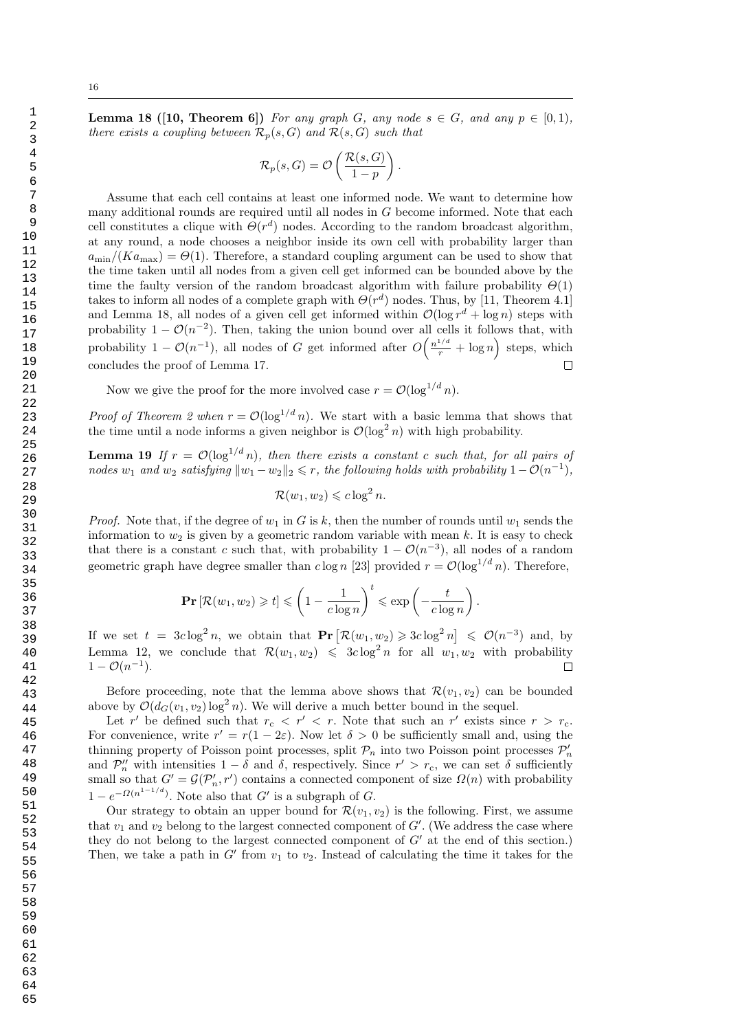1

**Lemma 18 ([10, Theorem 6])** For any graph G, any node  $s \in G$ , and any  $p \in [0,1)$ , there exists a coupling between  $\mathcal{R}_p(s, G)$  and  $\mathcal{R}(s, G)$  such that

$$
\mathcal{R}_p(s, G) = \mathcal{O}\left(\frac{\mathcal{R}(s, G)}{1 - p}\right).
$$

Assume that each cell contains at least one informed node. We want to determine how many additional rounds are required until all nodes in G become informed. Note that each cell constitutes a clique with  $\Theta(r^d)$  nodes. According to the random broadcast algorithm, at any round, a node chooses a neighbor inside its own cell with probability larger than  $a_{\text{min}}/(Ka_{\text{max}}) = \Theta(1)$ . Therefore, a standard coupling argument can be used to show that the time taken until all nodes from a given cell get informed can be bounded above by the time the faulty version of the random broadcast algorithm with failure probability  $\Theta(1)$ takes to inform all nodes of a complete graph with  $\Theta(r^d)$  nodes. Thus, by [11, Theorem 4.1] and Lemma 18, all nodes of a given cell get informed within  $\mathcal{O}(\log r^d + \log n)$  steps with probability  $1 - \mathcal{O}(n^{-2})$ . Then, taking the union bound over all cells it follows that, with probability  $1 - \mathcal{O}(n^{-1})$ , all nodes of G get informed after  $O\left(\frac{n^{1/d}}{r} + \log n\right)$  steps, which concludes the proof of Lemma 17.  $\Box$ 

Now we give the proof for the more involved case  $r = \mathcal{O}(\log^{1/d} n)$ .

*Proof of Theorem 2 when*  $r = \mathcal{O}(\log^{1/d} n)$ . We start with a basic lemma that shows that the time until a node informs a given neighbor is  $\mathcal{O}(\log^2 n)$  with high probability.

**Lemma 19** If  $r = \mathcal{O}(\log^{1/d} n)$ , then there exists a constant c such that, for all pairs of nodes  $w_1$  and  $w_2$  satisfying  $||w_1 - w_2||_2 \leq r$ , the following holds with probability  $1 - \mathcal{O}(n^{-1})$ ,

$$
\mathcal{R}(w_1, w_2) \leqslant c \log^2 n.
$$

*Proof.* Note that, if the degree of  $w_1$  in G is k, then the number of rounds until  $w_1$  sends the information to  $w_2$  is given by a geometric random variable with mean k. It is easy to check that there is a constant c such that, with probability  $1 - \mathcal{O}(n^{-3})$ , all nodes of a random geometric graph have degree smaller than  $c \log n$  [23] provided  $r = \mathcal{O}(\log^{1/d} n)$ . Therefore,

$$
\mathbf{Pr}\left[\mathcal{R}(w_1, w_2) \geqslant t\right] \leqslant \left(1 - \frac{1}{c\log n}\right)^t \leqslant \exp\left(-\frac{t}{c\log n}\right).
$$

If we set  $t = 3c \log^2 n$ , we obtain that  $\Pr[\mathcal{R}(w_1, w_2) \geqslant 3c \log^2 n] \leqslant \mathcal{O}(n^{-3})$  and, by Lemma 12, we conclude that  $\mathcal{R}(w_1, w_2) \leq 3c \log^2 n$  for all  $w_1, w_2$  with probability  $1 - \mathcal{O}(n^{-1}).$  $\Box$ 

Before proceeding, note that the lemma above shows that  $\mathcal{R}(v_1, v_2)$  can be bounded above by  $\mathcal{O}(d_G(v_1, v_2) \log^2 n)$ . We will derive a much better bound in the sequel.

Let r' be defined such that  $r_c < r' < r$ . Note that such an r' exists since  $r > r_c$ . For convenience, write  $r' = r(1 - 2\varepsilon)$ . Now let  $\delta > 0$  be sufficiently small and, using the thinning property of Poisson point processes, split  $\mathcal{P}_n$  into two Poisson point processes  $\mathcal{P}'_n$ and  $\mathcal{P}_n''$  with intensities  $1-\delta$  and  $\delta$ , respectively. Since  $r' > r_c$ , we can set  $\delta$  sufficiently small so that  $G' = \mathcal{G}(\mathcal{P}'_n, r')$  contains a connected component of size  $\Omega(n)$  with probability  $1 - e^{-\Omega(n^{1-1/d})}$ . Note also that G' is a subgraph of G.

Our strategy to obtain an upper bound for  $\mathcal{R}(v_1, v_2)$  is the following. First, we assume that  $v_1$  and  $v_2$  belong to the largest connected component of  $G'$ . (We address the case where they do not belong to the largest connected component of  $G'$  at the end of this section.) Then, we take a path in  $G'$  from  $v_1$  to  $v_2$ . Instead of calculating the time it takes for the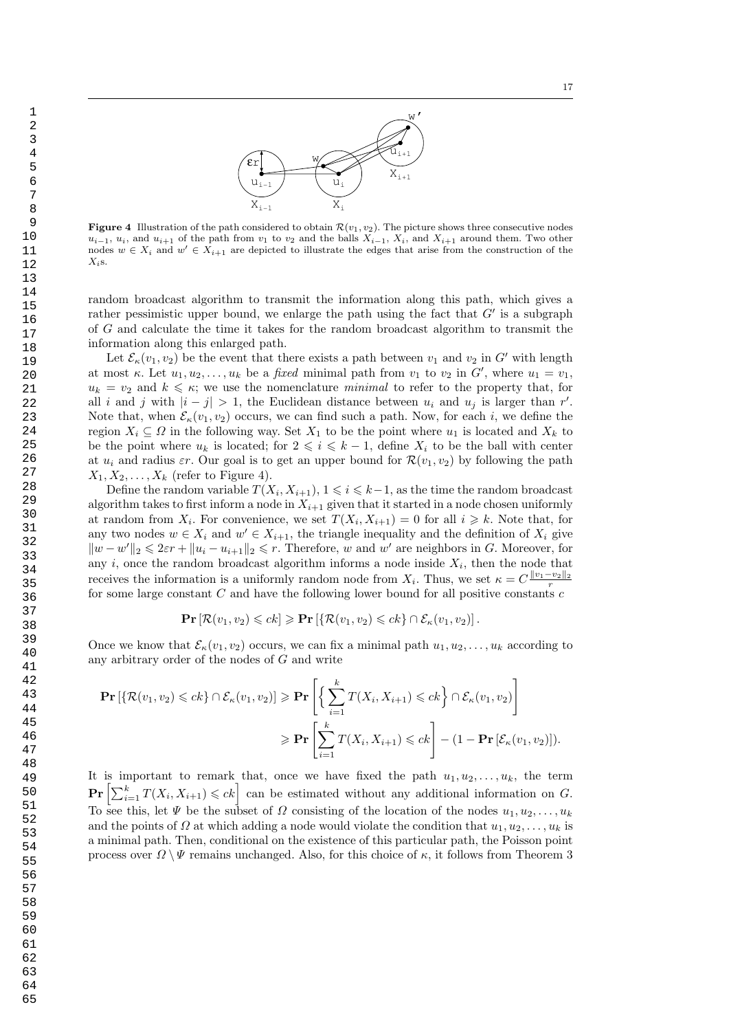

**Figure 4** Illustration of the path considered to obtain  $\mathcal{R}(v_1, v_2)$ . The picture shows three consecutive nodes  $u_{i-1}, u_i$ , and  $u_{i+1}$  of the path from  $v_1$  to  $v_2$  and the balls  $X_{i-1}$ ,  $X_i$ , and  $X_{i+1}$  around them. Two other nodes  $w \in X_i$  and  $w' \in X_{i+1}$  are depicted to illustrate the edges that arise from the construction of the  $X_i$ s.

 $u_{i-1}$   $u_i$ 

w

 $\mathbf{X}_{\mathtt{i}-1}$   $\qquad \qquad \mathbf{X}_{\mathtt{i}}$ 

 $\widehat{\epsilon}$ r $\left[$ 

random broadcast algorithm to transmit the information along this path, which gives a rather pessimistic upper bound, we enlarge the path using the fact that  $G'$  is a subgraph of G and calculate the time it takes for the random broadcast algorithm to transmit the information along this enlarged path.

Let  $\mathcal{E}_{\kappa}(v_1, v_2)$  be the event that there exists a path between  $v_1$  and  $v_2$  in G' with length at most  $\kappa$ . Let  $u_1, u_2, \ldots, u_k$  be a *fixed* minimal path from  $v_1$  to  $v_2$  in  $G'$ , where  $u_1 = v_1$ ,  $u_k = v_2$  and  $k \leq \kappa$ ; we use the nomenclature minimal to refer to the property that, for all i and j with  $|i - j| > 1$ , the Euclidean distance between  $u_i$  and  $u_j$  is larger than r'. Note that, when  $\mathcal{E}_{\kappa}(v_1, v_2)$  occurs, we can find such a path. Now, for each i, we define the region  $X_i \subseteq \Omega$  in the following way. Set  $X_1$  to be the point where  $u_1$  is located and  $X_k$  to be the point where  $u_k$  is located; for  $2 \leqslant i \leqslant k - 1$ , define  $X_i$  to be the ball with center at  $u_i$  and radius  $\varepsilon r$ . Our goal is to get an upper bound for  $\mathcal{R}(v_1, v_2)$  by following the path  $X_1, X_2, \ldots, X_k$  (refer to Figure 4).

Define the random variable  $T(X_i, X_{i+1}), 1 \leq i \leq k-1$ , as the time the random broadcast algorithm takes to first inform a node in  $X_{i+1}$  given that it started in a node chosen uniformly at random from  $X_i$ . For convenience, we set  $T(X_i, X_{i+1}) = 0$  for all  $i \geq k$ . Note that, for any two nodes  $w \in X_i$  and  $w' \in X_{i+1}$ , the triangle inequality and the definition of  $X_i$  give  $||w - w'||_2 \leq 2\varepsilon r + ||u_i - u_{i+1}||_2 \leq r$ . Therefore, w and w' are neighbors in G. Moreover, for any  $i$ , once the random broadcast algorithm informs a node inside  $X_i$ , then the node that receives the information is a uniformly random node from  $X_i$ . Thus, we set  $\kappa = C \frac{\|v_1 - v_2\|_2}{r}$ for some large constant  $C$  and have the following lower bound for all positive constants  $c$ 

$$
\mathbf{Pr} \left[ \mathcal{R}(v_1, v_2) \leqslant ck \right] \geqslant \mathbf{Pr} \left[ \{ \mathcal{R}(v_1, v_2) \leqslant ck \} \cap \mathcal{E}_{\kappa}(v_1, v_2) \right].
$$

Once we know that  $\mathcal{E}_{\kappa}(v_1, v_2)$  occurs, we can fix a minimal path  $u_1, u_2, \ldots, u_k$  according to any arbitrary order of the nodes of G and write

$$
\mathbf{Pr}\left[\left\{\mathcal{R}(v_1, v_2) \leqslant ck\right\} \cap \mathcal{E}_{\kappa}(v_1, v_2)\right] \geqslant \mathbf{Pr}\left[\left\{\sum_{i=1}^k T(X_i, X_{i+1}) \leqslant ck\right\} \cap \mathcal{E}_{\kappa}(v_1, v_2)\right]
$$

$$
\geqslant \mathbf{Pr}\left[\sum_{i=1}^k T(X_i, X_{i+1}) \leqslant ck\right] - (1 - \mathbf{Pr}\left[\mathcal{E}_{\kappa}(v_1, v_2)\right]).
$$

It is important to remark that, once we have fixed the path  $u_1, u_2, \ldots, u_k$ , the term  $\Pr\left[\sum_{i=1}^k T(X_i, X_{i+1}) \leqslant ck\right]$  can be estimated without any additional information on G. To see this, let  $\Psi$  be the subset of  $\Omega$  consisting of the location of the nodes  $u_1, u_2, \ldots, u_k$ and the points of  $\Omega$  at which adding a node would violate the condition that  $u_1, u_2, \ldots, u_k$  is a minimal path. Then, conditional on the existence of this particular path, the Poisson point process over  $\Omega \setminus \Psi$  remains unchanged. Also, for this choice of  $\kappa$ , it follows from Theorem 3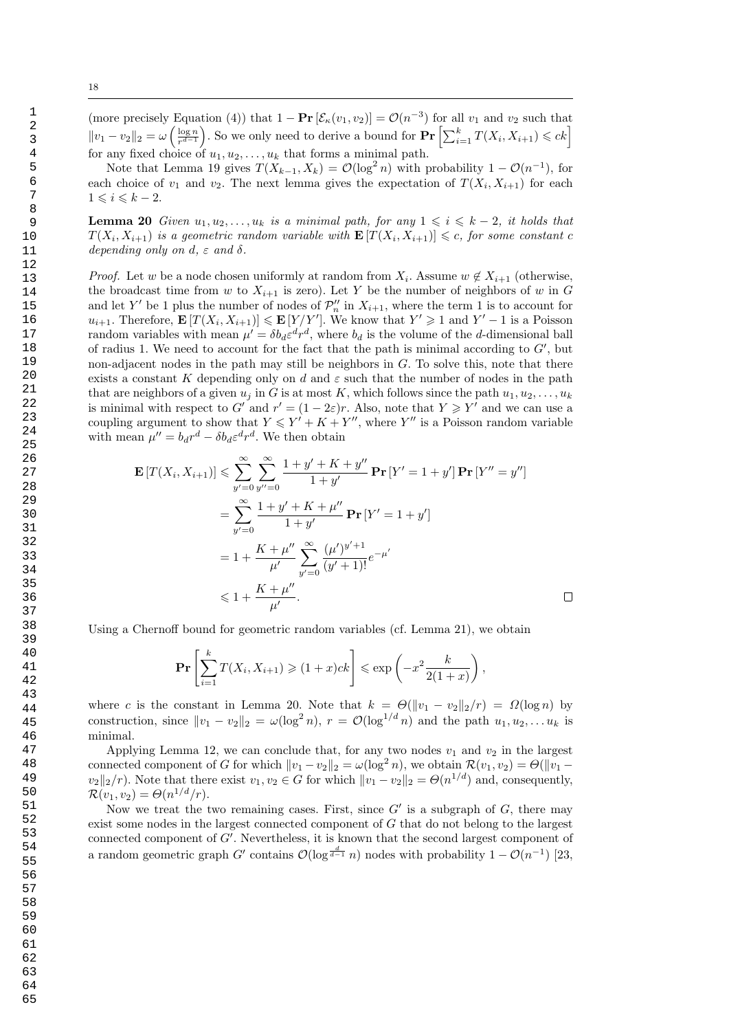Note that Lemma 19 gives  $T(X_{k-1}, X_k) = \mathcal{O}(\log^2 n)$  with probability  $1 - \mathcal{O}(n^{-1})$ , for each choice of  $v_1$  and  $v_2$ . The next lemma gives the expectation of  $T(X_i, X_{i+1})$  for each  $1 \leqslant i \leqslant k - 2.$ 

**Lemma 20** Given  $u_1, u_2, \ldots, u_k$  is a minimal path, for any  $1 \leq i \leq k-2$ , it holds that  $T(X_i, X_{i+1})$  is a geometric random variable with  $\mathbf{E}[T(X_i, X_{i+1})] \leq c$ , for some constant c depending only on d,  $\varepsilon$  and  $\delta$ .

*Proof.* Let w be a node chosen uniformly at random from  $X_i$ . Assume  $w \notin X_{i+1}$  (otherwise, the broadcast time from w to  $X_{i+1}$  is zero). Let Y be the number of neighbors of w in G and let Y' be 1 plus the number of nodes of  $\mathcal{P}_n''$  in  $X_{i+1}$ , where the term 1 is to account for  $u_{i+1}$ . Therefore,  $\mathbf{E}[T(X_i, X_{i+1})] \leq \mathbf{E}[Y/Y']$ . We know that  $Y' \geq 1$  and  $Y'-1$  is a Poisson random variables with mean  $\mu' = \delta b_d \varepsilon^d r^d$ , where  $b_d$  is the volume of the *d*-dimensional ball of radius 1. We need to account for the fact that the path is minimal according to  $G'$ , but non-adjacent nodes in the path may still be neighbors in G. To solve this, note that there exists a constant K depending only on d and  $\varepsilon$  such that the number of nodes in the path that are neighbors of a given  $u_j$  in G is at most K, which follows since the path  $u_1, u_2, \ldots, u_k$ is minimal with respect to G' and  $r' = (1 - 2\varepsilon)r$ . Also, note that  $Y \geq Y'$  and we can use a coupling argument to show that  $Y \leq Y' + K + Y''$ , where Y'' is a Poisson random variable with mean  $\mu'' = b_d r^d - \delta b_d \varepsilon^d r^d$ . We then obtain

$$
\mathbf{E}\left[T(X_i, X_{i+1})\right] \leq \sum_{y'=0}^{\infty} \sum_{y''=0}^{\infty} \frac{1+y'+K+y''}{1+y'} \mathbf{Pr}\left[Y'=1+y'\right] \mathbf{Pr}\left[Y''=y''\right]
$$

$$
= \sum_{y'=0}^{\infty} \frac{1+y'+K+\mu''}{1+y'} \mathbf{Pr}\left[Y'=1+y'\right]
$$

$$
= 1 + \frac{K+\mu''}{\mu'} \sum_{y'=0}^{\infty} \frac{(\mu')^{y'+1}}{(y'+1)!} e^{-\mu'}
$$

$$
\leq 1 + \frac{K+\mu''}{\mu'}.
$$

Using a Chernoff bound for geometric random variables (cf. Lemma 21), we obtain

$$
\Pr\left[\sum_{i=1}^k T(X_i, X_{i+1}) \geqslant (1+x)ck\right] \leqslant \exp\left(-x^2 \frac{k}{2(1+x)}\right),
$$

where c is the constant in Lemma 20. Note that  $k = \Theta(||v_1 - v_2||_2/r) = \Omega(\log n)$  by construction, since  $||v_1 - v_2||_2 = \omega(\log^2 n)$ ,  $r = \mathcal{O}(\log^{1/d} n)$  and the path  $u_1, u_2, \ldots u_k$  is minimal.

Applying Lemma 12, we can conclude that, for any two nodes  $v_1$  and  $v_2$  in the largest connected component of G for which  $||v_1 - v_2||_2 = \omega(\log^2 n)$ , we obtain  $\mathcal{R}(v_1, v_2) = \Theta(||v_1 - v_2||_2)$  $v_2||_2/r$ ). Note that there exist  $v_1, v_2 \in G$  for which  $||v_1 - v_2||_2 = \Theta(n^{1/d})$  and, consequently,  $\mathcal{R}(v_1, v_2) = \Theta(n^{1/d}/r).$ 

Now we treat the two remaining cases. First, since  $G'$  is a subgraph of  $G$ , there may exist some nodes in the largest connected component of G that do not belong to the largest connected component of  $G'$ . Nevertheless, it is known that the second largest component of a random geometric graph G' contains  $\mathcal{O}(\log^{\frac{d}{d-1}} n)$  nodes with probability  $1 - \mathcal{O}(n^{-1})$  [23,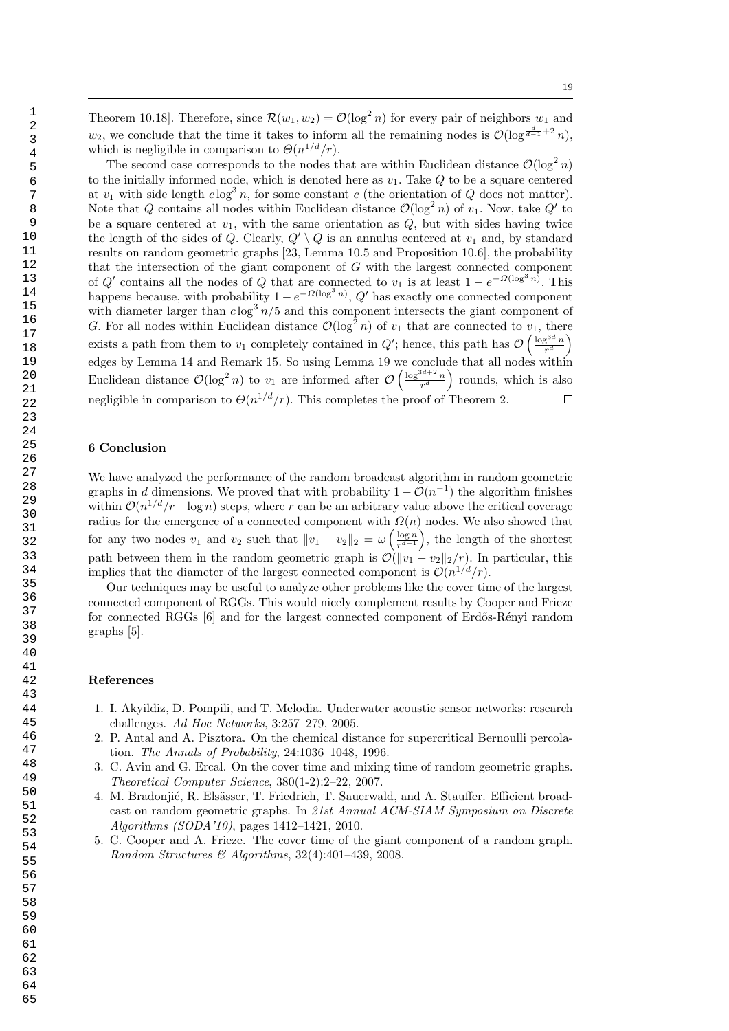Theorem 10.18]. Therefore, since  $\mathcal{R}(w_1, w_2) = \mathcal{O}(\log^2 n)$  for every pair of neighbors  $w_1$  and  $w_2$ , we conclude that the time it takes to inform all the remaining nodes is  $\mathcal{O}(\log^{\frac{d}{d-1}+2} n)$ , which is negligible in comparison to  $\Theta(n^{1/d}/r)$ .

The second case corresponds to the nodes that are within Euclidean distance  $\mathcal{O}(\log^2 n)$ to the initially informed node, which is denoted here as  $v_1$ . Take  $Q$  to be a square centered at  $v_1$  with side length  $c \log^3 n$ , for some constant c (the orientation of Q does not matter). Note that Q contains all nodes within Euclidean distance  $\mathcal{O}(\log^2 n)$  of  $v_1$ . Now, take Q' to be a square centered at  $v_1$ , with the same orientation as  $Q$ , but with sides having twice the length of the sides of Q. Clearly,  $Q' \setminus Q$  is an annulus centered at  $v_1$  and, by standard results on random geometric graphs [23, Lemma 10.5 and Proposition 10.6], the probability that the intersection of the giant component of G with the largest connected component of Q' contains all the nodes of Q that are connected to  $v_1$  is at least  $1 - e^{-\Omega(\log^3 n)}$ . This happens because, with probability  $1 - e^{-\Omega(\log^3 n)}$ ,  $Q'$  has exactly one connected component with diameter larger than  $c \log^3 n/5$  and this component intersects the giant component of G. For all nodes within Euclidean distance  $\mathcal{O}(\log^2 n)$  of  $v_1$  that are connected to  $v_1$ , there exists a path from them to  $v_1$  completely contained in  $Q'$ ; hence, this path has  $\mathcal{O}\left(\frac{\log^{3d} n}{r^d}\right)$  $\frac{g^{3d}n}{r^d}\bigg)$ edges by Lemma 14 and Remark 15. So using Lemma 19 we conclude that all nodes within Euclidean distance  $\mathcal{O}(\log^2 n)$  to  $v_1$  are informed after  $\mathcal{O}\left(\frac{\log^{3d+2} n}{r^d}\right)$  $\left(\frac{3d+2}{r^d}\right)$  rounds, which is also negligible in comparison to  $\Theta(n^{1/d}/r)$ . This completes the proof of Theorem 2.  $\Box$ 

## 6 Conclusion

We have analyzed the performance of the random broadcast algorithm in random geometric graphs in d dimensions. We proved that with probability  $1 - \mathcal{O}(n^{-1})$  the algorithm finishes within  $\mathcal{O}(n^{1/d}/r+\log n)$  steps, where r can be an arbitrary value above the critical coverage radius for the emergence of a connected component with  $\Omega(n)$  nodes. We also showed that for any two nodes  $v_1$  and  $v_2$  such that  $||v_1 - v_2||_2 = \omega \left(\frac{\log n}{r^{d-1}}\right)$  $\frac{\log n}{r^{d-1}}$ , the length of the shortest path between them in the random geometric graph is  $\mathcal{O}(\Vert v_1 - v_2 \Vert_2 / r)$ . In particular, this implies that the diameter of the largest connected component is  $\mathcal{O}(n^{1/d}/r)$ .

Our techniques may be useful to analyze other problems like the cover time of the largest connected component of RGGs. This would nicely complement results by Cooper and Frieze for connected RGGs [6] and for the largest connected component of Erdős-Rényi random graphs [5].

#### References

- 1. I. Akyildiz, D. Pompili, and T. Melodia. Underwater acoustic sensor networks: research challenges. Ad Hoc Networks, 3:257–279, 2005.
- 2. P. Antal and A. Pisztora. On the chemical distance for supercritical Bernoulli percolation. The Annals of Probability, 24:1036–1048, 1996.
- 3. C. Avin and G. Ercal. On the cover time and mixing time of random geometric graphs. Theoretical Computer Science, 380(1-2):2–22, 2007.
- 4. M. Bradonjić, R. Elsässer, T. Friedrich, T. Sauerwald, and A. Stauffer. Efficient broadcast on random geometric graphs. In 21st Annual ACM-SIAM Symposium on Discrete Algorithms (SODA'10), pages 1412–1421, 2010.
- 5. C. Cooper and A. Frieze. The cover time of the giant component of a random graph. Random Structures  $\mathcal{B}$  Algorithms, 32(4):401-439, 2008.